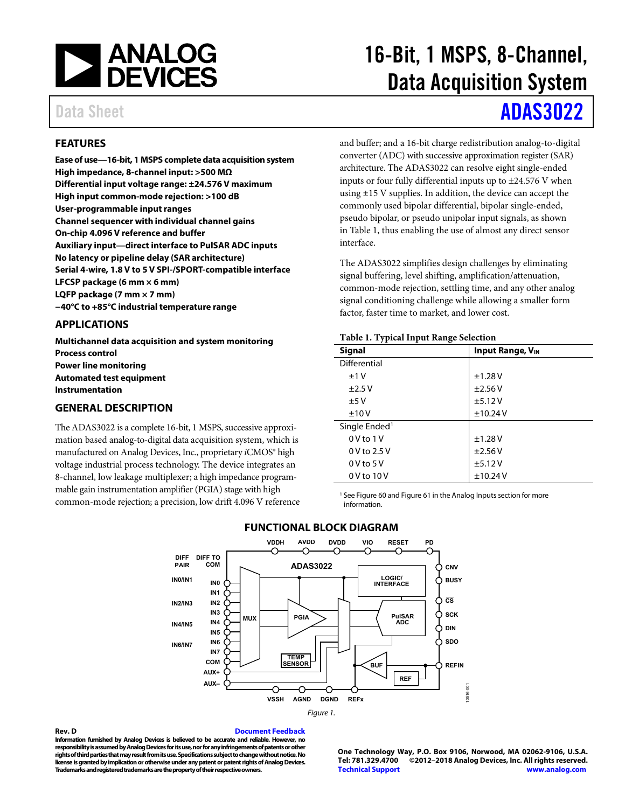

#### <span id="page-0-1"></span>**FEATURES**

**Ease of use—16-bit, 1 MSPS complete data acquisition system High impedance, 8-channel input: >500 MΩ Differential input voltage range: ±24.576 V maximum High input common-mode rejection: >100 dB User-programmable input ranges Channel sequencer with individual channel gains On-chip 4.096 V reference and buffer Auxiliary input—direct interface to PulSAR ADC inputs No latency or pipeline delay (SAR architecture) Serial 4-wire, 1.8 V to 5 V SPI-/SPORT-compatible interface LFCSP package (6 mm × 6 mm) LQFP package (7 mm × 7 mm) −40°C to +85°C industrial temperature range**

#### <span id="page-0-2"></span>**APPLICATIONS**

**Multichannel data acquisition and system monitoring Process control Power line monitoring Automated test equipment Instrumentation**

#### <span id="page-0-3"></span>**GENERAL DESCRIPTION**

<span id="page-0-4"></span>The ADAS3022 is a complete 16-bit, 1 MSPS, successive approximation based analog-to-digital data acquisition system, which is manufactured on Analog Devices, Inc., proprietary *i*CMOS® high voltage industrial process technology. The device integrates an 8-channel, low leakage multiplexer; a high impedance programmable gain instrumentation amplifier (PGIA) stage with high common-mode rejection; a precision, low drift 4.096 V reference

# 16-Bit, 1 MSPS, 8-Channel, Data Acquisition System

# Data Sheet **[ADAS3022](http://www.analog.com/ADAS3022?doc=ADAS3022.pdf)**

and buffer; and a 16-bit charge redistribution analog-to-digital converter (ADC) with successive approximation register (SAR) architecture. The ADAS3022 can resolve eight single-ended inputs or four fully differential inputs up to  $\pm$ 24.576 V when using ±15 V supplies. In addition, the device can accept the commonly used bipolar differential, bipolar single-ended, pseudo bipolar, or pseudo unipolar input signals, as shown in [Table 1,](#page-0-0) thus enabling the use of almost any direct sensor interface.

The ADAS3022 simplifies design challenges by eliminating signal buffering, level shifting, amplification/attenuation, common-mode rejection, settling time, and any other analog signal conditioning challenge while allowing a smaller form factor, faster time to market, and lower cost.

#### <span id="page-0-0"></span>**Table 1. Typical Input Range Selection**

| <b>Signal</b>             | <b>Input Range, VIN</b> |
|---------------------------|-------------------------|
| Differential              |                         |
| ±1V                       | ±1.28V                  |
| ±2.5V                     | ±2.56V                  |
| ±5V                       | ±5.12V                  |
| ±10V                      | ±10.24V                 |
| Single Ended <sup>1</sup> |                         |
| $0V$ to $1V$              | ±1.28V                  |
| $0V$ to $2.5V$            | ±2.56V                  |
| $0V$ to $5V$              | ±5.12V                  |
| 0 V to 10 V               | ±10.24V                 |

<sup>1</sup> Se[e Figure 60](#page-27-0) an[d Figure 61](#page-27-1) in the Analog Inputs section for more information.



#### **FUNCTIONAL BLOCK DIAGRAM**

**Rev. D [Document Feedback](https://form.analog.com/Form_Pages/feedback/documentfeedback.aspx?doc=ADAS3023.pdf&product=ADAS3023&rev=D) Information furnished by Analog Devices is believed to be accurate and reliable. However, no**  responsibility is assumed by Analog Devices for its use, nor for any infringements of patents or other **rights of third parties that may result from its use. Specifications subject to change without notice. No license is granted by implication or otherwise under any patent or patent rights of Analog Devices. Trademarks and registered trademarks are the property of their respective owners.**

**One Technology Way, P.O. Box 9106, Norwood, MA 02062-9106, U.S.A. Tel: 781.329.4700 ©2012–2018 Analog Devices, Inc. All rights reserved. [Technical Support](http://www.analog.com/en/content/technical_support_page/fca.html) [www.analog.com](http://www.analog.com/)**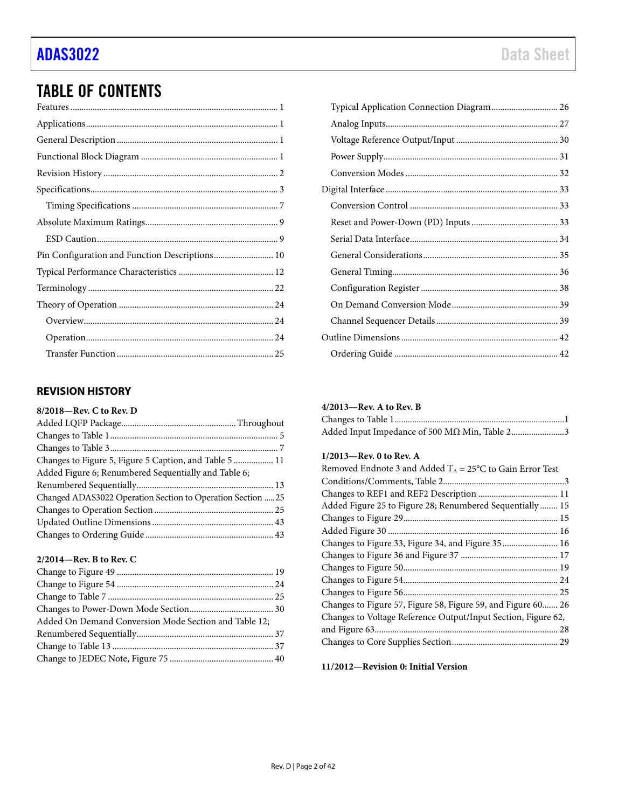## TABLE OF CONTENTS

| Pin Configuration and Function Descriptions 10 |  |
|------------------------------------------------|--|
|                                                |  |
|                                                |  |
|                                                |  |
|                                                |  |
|                                                |  |
|                                                |  |

#### <span id="page-1-0"></span>**REVISION HISTORY**

#### **8/2018—Rev. C to Rev. D**

| Changes to Figure 5, Figure 5 Caption, and Table 5  11      |  |
|-------------------------------------------------------------|--|
| Added Figure 6; Renumbered Sequentially and Table 6;        |  |
|                                                             |  |
| Changed ADAS3022 Operation Section to Operation Section  25 |  |
|                                                             |  |
|                                                             |  |
|                                                             |  |
|                                                             |  |

#### **2/2014—Rev. B to Rev. C**

| Added On Demand Conversion Mode Section and Table 12; |  |
|-------------------------------------------------------|--|
|                                                       |  |
|                                                       |  |
|                                                       |  |
|                                                       |  |

#### **4/2013—Rev. A to Rev. B**

| Added Input Impedance of 500 MΩ Min, Table 23 |
|-----------------------------------------------|

#### **1/2013—Rev. 0 to Rev. A**

| Removed Endnote 3 and Added $T_A = 25^{\circ}C$ to Gain Error Test |
|--------------------------------------------------------------------|
|                                                                    |
|                                                                    |
| Added Figure 25 to Figure 28; Renumbered Sequentially  15          |
|                                                                    |
|                                                                    |
| Changes to Figure 33, Figure 34, and Figure 35  16                 |
|                                                                    |
|                                                                    |
|                                                                    |
|                                                                    |
| Changes to Figure 57, Figure 58, Figure 59, and Figure 60 26       |
| Changes to Voltage Reference Output/Input Section, Figure 62,      |
|                                                                    |
|                                                                    |

**11/2012—Revision 0: Initial Version**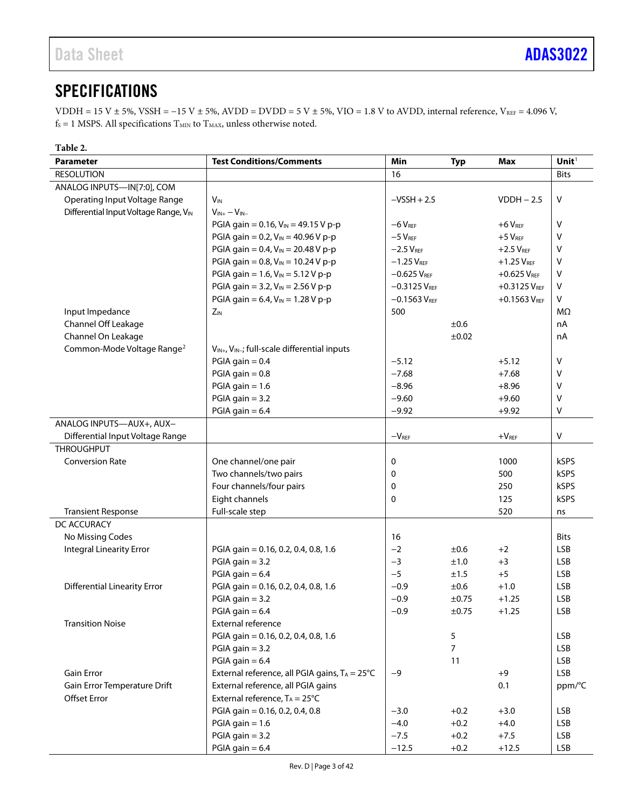## <span id="page-2-0"></span>**SPECIFICATIONS**

VDDH = 15 V ± 5%, VSSH =  $-15$  V ± 5%, AVDD = DVDD = 5 V ± 5%, VIO = 1.8 V to AVDD, internal reference, V<sub>REF</sub> = 4.096 V,  $\rm{f}_{\rm{S}} = 1$  MSPS. All specifications  $\rm{T}_{\rm{MIN}}$  to  $\rm{T}_{\rm{MAX}}$  unless otherwise noted.

| Table 2.                               |                                                                      |                   |                |                            |                   |
|----------------------------------------|----------------------------------------------------------------------|-------------------|----------------|----------------------------|-------------------|
| <b>Parameter</b>                       | <b>Test Conditions/Comments</b>                                      | Min               | <b>Typ</b>     | Max                        | Unit <sup>1</sup> |
| <b>RESOLUTION</b>                      |                                                                      | 16                |                |                            | <b>Bits</b>       |
| ANALOG INPUTS-IN[7:0], COM             |                                                                      |                   |                |                            |                   |
| Operating Input Voltage Range          | $V_{\text{IN}}$                                                      | $-VSSH + 2.5$     |                | $VDDH - 2.5$               | V                 |
| Differential Input Voltage Range, VIN  | $V_{IN+} - V_{IN-}$                                                  |                   |                |                            |                   |
|                                        | PGIA gain = $0.16$ , $V_{IN} = 49.15$ V p-p                          | $-6$ $VREF$       |                | $+6$ $VREF$                | V                 |
|                                        | PGIA gain = 0.2, $V_{IN}$ = 40.96 V p-p                              | $-5$ $V_{REF}$    |                | $+5$ $VREF$                | V                 |
|                                        | PGIA gain = 0.4, $V_{IN}$ = 20.48 V p-p                              | $-2.5$ $V_{REF}$  |                | $+2.5$ $V_{REF}$           | V                 |
|                                        | PGIA gain = 0.8, $V_{IN}$ = 10.24 V p-p                              | $-1.25$ $V_{REF}$ |                | $+1.25V_{REF}$             | V                 |
|                                        | PGIA gain = 1.6, $V_{IN}$ = 5.12 V p-p                               | $-0.625$ VREF     |                | $+0.625$ V <sub>REF</sub>  | $\vee$            |
|                                        | PGIA gain = 3.2, $V_{IN}$ = 2.56 V p-p                               | $-0.3125 V_{REF}$ |                | $+0.3125 V_{REF}$          | V                 |
|                                        | PGIA gain = 6.4, $V_{IN}$ = 1.28 V p-p                               | $-0.1563$ VREF    |                | $+0.1563$ V <sub>REF</sub> | V                 |
| Input Impedance                        | $Z_{IN}$                                                             | 500               |                |                            | MΩ                |
| Channel Off Leakage                    |                                                                      |                   | ±0.6           |                            | nA                |
| Channel On Leakage                     |                                                                      |                   | ±0.02          |                            | nA                |
| Common-Mode Voltage Range <sup>2</sup> | V <sub>IN+</sub> , V <sub>IN-</sub> ; full-scale differential inputs |                   |                |                            |                   |
|                                        | $PGIA gain = 0.4$                                                    | $-5.12$           |                | $+5.12$                    | $\vee$            |
|                                        | PGIA gain $= 0.8$                                                    | $-7.68$           |                | $+7.68$                    | $\vee$            |
|                                        | PGIA gain $= 1.6$                                                    | $-8.96$           |                | $+8.96$                    | $\vee$            |
|                                        | $PGIA$ gain = 3.2                                                    | $-9.60$           |                | $+9.60$                    | v                 |
|                                        | PGIA gain $= 6.4$                                                    | $-9.92$           |                | $+9.92$                    | $\mathsf{V}$      |
| ANALOG INPUTS-AUX+, AUX-               |                                                                      |                   |                |                            |                   |
| Differential Input Voltage Range       |                                                                      | $-V_{REF}$        |                | $+VREF$                    | $\vee$            |
| <b>THROUGHPUT</b>                      |                                                                      |                   |                |                            |                   |
| <b>Conversion Rate</b>                 | One channel/one pair                                                 | 0                 |                | 1000                       | <b>kSPS</b>       |
|                                        | Two channels/two pairs                                               | 0                 |                | 500                        | kSPS              |
|                                        | Four channels/four pairs                                             | 0                 |                | 250                        | <b>kSPS</b>       |
|                                        | Eight channels                                                       | 0                 |                | 125                        | <b>kSPS</b>       |
| <b>Transient Response</b>              | Full-scale step                                                      |                   |                | 520                        | ns                |
| DC ACCURACY                            |                                                                      |                   |                |                            |                   |
| No Missing Codes                       |                                                                      | 16                |                |                            | <b>Bits</b>       |
| <b>Integral Linearity Error</b>        | PGIA gain = 0.16, 0.2, 0.4, 0.8, 1.6                                 | $-2$              | ±0.6           | $+2$                       | <b>LSB</b>        |
|                                        | $PGIA gain = 3.2$                                                    | $-3$              | ±1.0           | $+3$                       | <b>LSB</b>        |
|                                        | PGIA gain $= 6.4$                                                    | $-5$              | ±1.5           | $+5$                       | <b>LSB</b>        |
| <b>Differential Linearity Error</b>    | PGIA gain = 0.16, 0.2, 0.4, 0.8, 1.6                                 | $-0.9$            | ±0.6           | $+1.0$                     | <b>LSB</b>        |
|                                        | PGIA gain $= 3.2$                                                    | $-0.9$            | ±0.75          | $+1.25$                    | <b>LSB</b>        |
|                                        | $PGIA$ gain = 6.4                                                    | $-0.9$            | ±0.75          | $+1.25$                    | <b>LSB</b>        |
| <b>Transition Noise</b>                | External reference                                                   |                   |                |                            |                   |
|                                        | PGIA gain = 0.16, 0.2, 0.4, 0.8, 1.6                                 |                   | 5              |                            | <b>LSB</b>        |
|                                        | $PGIA$ gain = 3.2                                                    |                   | $\overline{7}$ |                            | <b>LSB</b>        |
|                                        | PGIA gain $= 6.4$                                                    |                   | 11             |                            | <b>LSB</b>        |
| Gain Error                             | External reference, all PGIA gains, $T_A = 25^{\circ}C$              | $-9$              |                | $+9$                       | <b>LSB</b>        |
| Gain Error Temperature Drift           | External reference, all PGIA gains                                   |                   |                | 0.1                        | ppm/°C            |
| <b>Offset Error</b>                    | External reference, $T_A = 25^{\circ}C$                              |                   |                |                            |                   |
|                                        | PGIA gain = 0.16, 0.2, 0.4, 0.8                                      | $-3.0$            | $+0.2$         | $+3.0$                     | LSB               |
|                                        | $PGIA gain = 1.6$                                                    | $-4.0$            | $+0.2$         | $+4.0$                     | <b>LSB</b>        |
|                                        | $PGIA$ gain = 3.2                                                    | $-7.5$            | $+0.2$         | $+7.5$                     | <b>LSB</b>        |
|                                        | PGIA gain $= 6.4$                                                    | $-12.5$           | $+0.2$         | $+12.5$                    | <b>LSB</b>        |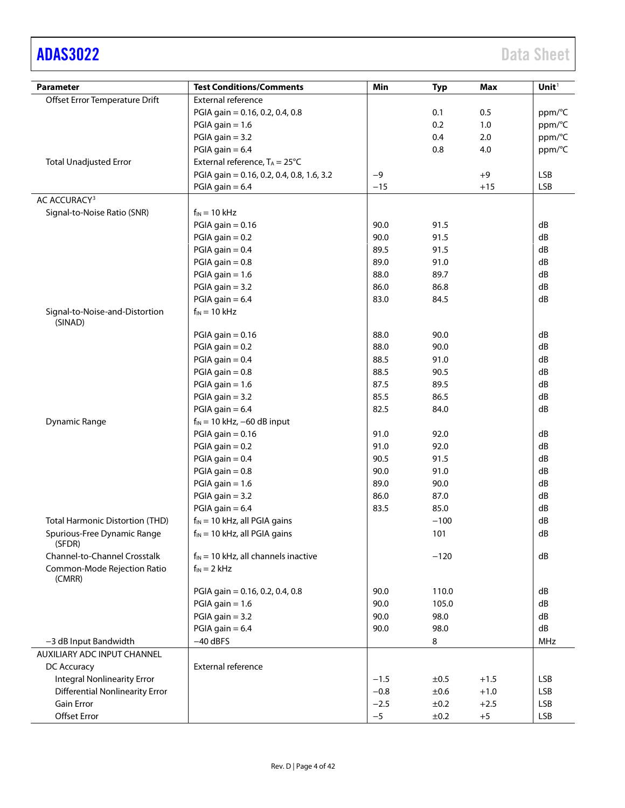# [ADAS3022](http://www.analog.com/ADAS3022?doc=ADAS3022.pdf) Data Sheet

| <b>Parameter</b>                          | <b>Test Conditions/Comments</b>           | Min    | <b>Typ</b> | <b>Max</b> | Unit <sup>1</sup> |
|-------------------------------------------|-------------------------------------------|--------|------------|------------|-------------------|
| Offset Error Temperature Drift            | External reference                        |        |            |            |                   |
|                                           | PGIA gain = 0.16, 0.2, 0.4, 0.8           |        | 0.1        | 0.5        | ppm/°C            |
|                                           | $PGIA$ gain = 1.6                         |        | 0.2        | 1.0        | ppm/°C            |
|                                           | $PGIA$ gain = 3.2                         |        | 0.4        | 2.0        | ppm/°C            |
|                                           | $PGIA$ gain = 6.4                         |        | 0.8        | 4.0        | ppm/°C            |
| <b>Total Unadjusted Error</b>             | External reference, $T_A = 25^{\circ}C$   |        |            |            |                   |
|                                           | PGIA gain = 0.16, 0.2, 0.4, 0.8, 1.6, 3.2 | $-9$   |            | $+9$       | LSB               |
|                                           | PGIA gain $= 6.4$                         | $-15$  |            | $+15$      | <b>LSB</b>        |
| AC ACCURACY <sup>3</sup>                  |                                           |        |            |            |                   |
| Signal-to-Noise Ratio (SNR)               | $f_{IN} = 10$ kHz                         |        |            |            |                   |
|                                           | PGIA gain $= 0.16$                        | 90.0   | 91.5       |            | dB                |
|                                           | $PGIA$ gain = 0.2                         | 90.0   | 91.5       |            | dB                |
|                                           | PGIA gain $= 0.4$                         | 89.5   | 91.5       |            | dB                |
|                                           | $PGIA$ gain = 0.8                         | 89.0   | 91.0       |            | dB                |
|                                           | $PGIA gain = 1.6$                         | 88.0   | 89.7       |            | dB                |
|                                           | $PGIA$ gain = 3.2                         | 86.0   | 86.8       |            | dB                |
|                                           | PGIA gain $= 6.4$                         | 83.0   | 84.5       |            | dB                |
| Signal-to-Noise-and-Distortion<br>(SINAD) | $f_{IN} = 10$ kHz                         |        |            |            |                   |
|                                           | PGIA gain $= 0.16$                        | 88.0   | 90.0       |            | dB                |
|                                           | $PGIA$ gain = 0.2                         | 88.0   | 90.0       |            | dB                |
|                                           | PGIA gain $= 0.4$                         | 88.5   | 91.0       |            | dB                |
|                                           | $PGIA$ gain = 0.8                         | 88.5   | 90.5       |            | dB                |
|                                           | $PGIA$ gain = 1.6                         | 87.5   | 89.5       |            | dB                |
|                                           | $PGIA$ gain = 3.2                         | 85.5   | 86.5       |            | dB                |
|                                           | PGIA gain $= 6.4$                         | 82.5   | 84.0       |            | dB                |
| <b>Dynamic Range</b>                      | $f_{IN}$ = 10 kHz, -60 dB input           |        |            |            |                   |
|                                           | PGIA gain $= 0.16$                        | 91.0   | 92.0       |            | dB                |
|                                           | $PGIA$ gain = 0.2                         | 91.0   | 92.0       |            | dB                |
|                                           | $PGIA$ gain = 0.4                         | 90.5   | 91.5       |            | dB                |
|                                           | $PGIA$ gain = 0.8                         | 90.0   | 91.0       |            | dB                |
|                                           | $PGIA$ gain = 1.6                         | 89.0   | 90.0       |            | dB                |
|                                           | $PGIA$ gain = 3.2                         | 86.0   | 87.0       |            | dB                |
|                                           | PGIA gain $= 6.4$                         | 83.5   | 85.0       |            | dB                |
| <b>Total Harmonic Distortion (THD)</b>    | $f_{IN}$ = 10 kHz, all PGIA gains         |        | $-100$     |            | dB                |
| Spurious-Free Dynamic Range               | $f_{IN}$ = 10 kHz, all PGIA gains         |        | 101        |            | dB                |
| (SFDR)                                    |                                           |        |            |            |                   |
| Channel-to-Channel Crosstalk              | $f_{IN}$ = 10 kHz, all channels inactive  |        | $-120$     |            | dB                |
| Common-Mode Rejection Ratio<br>(CMRR)     | $f_{IN} = 2$ kHz                          |        |            |            |                   |
|                                           | PGIA gain = 0.16, 0.2, 0.4, 0.8           | 90.0   | 110.0      |            | dB                |
|                                           | $PGIA$ gain = 1.6                         | 90.0   | 105.0      |            | dB                |
|                                           | $PGIA$ gain = 3.2                         | 90.0   | 98.0       |            | dB                |
|                                           | PGIA gain $= 6.4$                         | 90.0   | 98.0       |            | dB                |
| -3 dB Input Bandwidth                     | $-40$ dBFS                                |        | 8          |            | <b>MHz</b>        |
| AUXILIARY ADC INPUT CHANNEL               |                                           |        |            |            |                   |
| DC Accuracy                               | External reference                        |        |            |            |                   |
| <b>Integral Nonlinearity Error</b>        |                                           | $-1.5$ | ±0.5       | $+1.5$     | <b>LSB</b>        |
| <b>Differential Nonlinearity Error</b>    |                                           | $-0.8$ | ±0.6       | $+1.0$     | <b>LSB</b>        |
| <b>Gain Error</b>                         |                                           | $-2.5$ | ±0.2       | $+2.5$     | <b>LSB</b>        |
| Offset Error                              |                                           | $-5$   | ±0.2       | $+5$       | <b>LSB</b>        |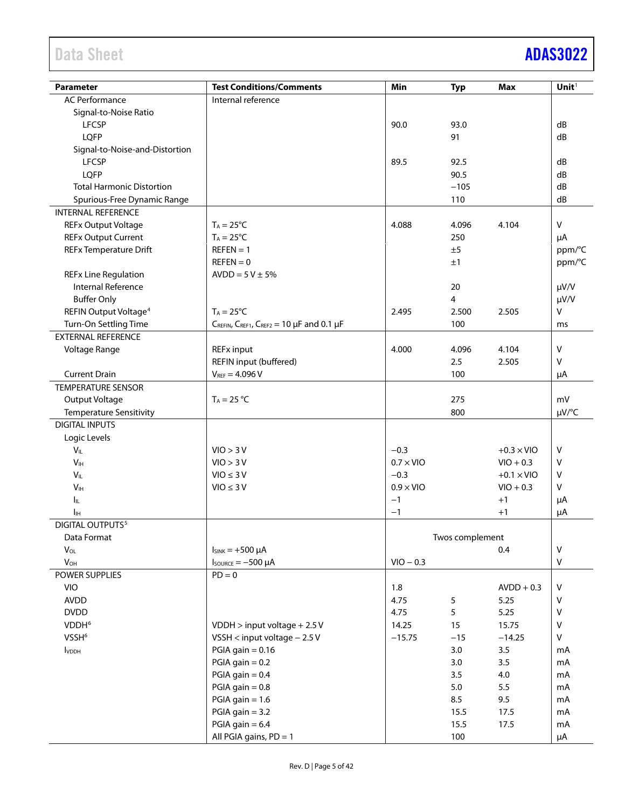# Data Sheet **[ADAS3022](http://www.analog.com/ADAS3022?doc=ADAS3022.pdf)**

| <b>Parameter</b>                  | <b>Test Conditions/Comments</b>         | Min              | <b>Typ</b>      | <b>Max</b>        | Unit <sup>1</sup> |
|-----------------------------------|-----------------------------------------|------------------|-----------------|-------------------|-------------------|
| <b>AC Performance</b>             | Internal reference                      |                  |                 |                   |                   |
| Signal-to-Noise Ratio             |                                         |                  |                 |                   |                   |
| <b>LFCSP</b>                      |                                         | 90.0             | 93.0            |                   | dB                |
| LQFP                              |                                         |                  | 91              |                   | dB                |
| Signal-to-Noise-and-Distortion    |                                         |                  |                 |                   |                   |
| <b>LFCSP</b>                      |                                         | 89.5             | 92.5            |                   | dB                |
| LQFP                              |                                         |                  | 90.5            |                   | dB                |
| <b>Total Harmonic Distortion</b>  |                                         |                  | $-105$          |                   | dB                |
| Spurious-Free Dynamic Range       |                                         |                  | 110             |                   | dB                |
| <b>INTERNAL REFERENCE</b>         |                                         |                  |                 |                   |                   |
| <b>REFx Output Voltage</b>        | $T_A = 25^{\circ}C$                     | 4.088            | 4.096           | 4.104             | $\mathsf{V}$      |
| <b>REFx Output Current</b>        | $T_A = 25^{\circ}C$                     |                  | 250             |                   | μA                |
| <b>REFx Temperature Drift</b>     | $REFEN = 1$                             |                  | ±5              |                   | ppm/°C            |
|                                   | $REFEN = 0$                             |                  | ±1              |                   | ppm/°C            |
| <b>REFx Line Regulation</b>       | $AVDD = 5V \pm 5%$                      |                  |                 |                   |                   |
| <b>Internal Reference</b>         |                                         |                  | 20              |                   | $\mu V/V$         |
| <b>Buffer Only</b>                |                                         |                  | 4               |                   | $\mu V/V$         |
| REFIN Output Voltage <sup>4</sup> | $T_A = 25^{\circ}C$                     | 2.495            | 2.500           | 2.505             | V                 |
| Turn-On Settling Time             | CREFIN, CREF1, CREF2 = 10 µF and 0.1 µF |                  | 100             |                   | ms                |
| <b>EXTERNAL REFERENCE</b>         |                                         |                  |                 |                   |                   |
| Voltage Range                     | <b>REFx input</b>                       | 4.000            | 4.096           | 4.104             | $\vee$            |
|                                   | REFIN input (buffered)                  |                  | 2.5             | 2.505             | V                 |
| <b>Current Drain</b>              | $V_{REF} = 4.096 V$                     |                  | 100             |                   | μA                |
| <b>TEMPERATURE SENSOR</b>         |                                         |                  |                 |                   |                   |
| Output Voltage                    | $T_A = 25 °C$                           |                  | 275             |                   | mV                |
| <b>Temperature Sensitivity</b>    |                                         |                  | 800             |                   | µV/°C             |
| <b>DIGITAL INPUTS</b>             |                                         |                  |                 |                   |                   |
| Logic Levels                      |                                         |                  |                 |                   |                   |
| $V_{IL}$                          | VIO > 3 V                               | $-0.3$           |                 | $+0.3 \times$ VIO | $\vee$            |
| V <sub>IH</sub>                   | VIO > 3 V                               | $0.7 \times$ VIO |                 | $VIO + 0.3$       | V                 |
| $V_{IL}$                          | $VIO \leq 3 V$                          | $-0.3$           |                 | $+0.1 \times$ VIO | V                 |
| V <sub>IH</sub>                   | $VIO \leq 3 V$                          | $0.9 \times$ VIO |                 | $VIO + 0.3$       | V                 |
| Ιıμ.                              |                                         | $-1$             |                 | $+1$              | μA                |
| Iн                                |                                         | $-1$             |                 | $+1$              | μA                |
| DIGITAL OUTPUTS <sup>5</sup>      |                                         |                  |                 |                   |                   |
| Data Format                       |                                         |                  | Twos complement |                   |                   |
| $V_{OL}$                          | $I_{SINK} = +500 \mu A$                 |                  |                 | 0.4               | $\mathsf{V}$      |
| $V_{OH}$                          | $I_{\text{SOWRCE}} = -500 \mu A$        | $VIO - 0.3$      |                 |                   | V                 |
| POWER SUPPLIES                    | $PD = 0$                                |                  |                 |                   |                   |
| <b>VIO</b>                        |                                         | 1.8              |                 | $AVDD + 0.3$      | $\sf V$           |
| <b>AVDD</b>                       |                                         | 4.75             | 5               | 5.25              | ٧                 |
| <b>DVDD</b>                       |                                         | 4.75             | 5               | 5.25              | $\sf V$           |
| VDDH <sup>6</sup>                 | $VDDH > input voltage + 2.5 V$          | 14.25            | 15              | 15.75             | $\mathsf V$       |
| VSSH <sup>6</sup>                 | VSSH < input voltage $-2.5V$            | $-15.75$         | $-15$           | $-14.25$          | V                 |
| <b>I</b> VDDH                     | PGIA gain $= 0.16$                      |                  | 3.0             | 3.5               | mA                |
|                                   | $PGIA gain = 0.2$                       |                  | 3.0             | 3.5               | mA                |
|                                   | PGIA gain $= 0.4$                       |                  | 3.5             | 4.0               | mA                |
|                                   | PGIA gain $= 0.8$                       |                  | 5.0             | 5.5               | mA                |
|                                   | $PGIA gain = 1.6$                       |                  | 8.5             | 9.5               | mA                |
|                                   | $PGIA$ gain = 3.2                       |                  | 15.5            | 17.5              | mA                |
|                                   | PGIA gain $= 6.4$                       |                  | 15.5            | 17.5              | mA                |
|                                   | All PGIA gains, PD = 1                  |                  | 100             |                   | μA                |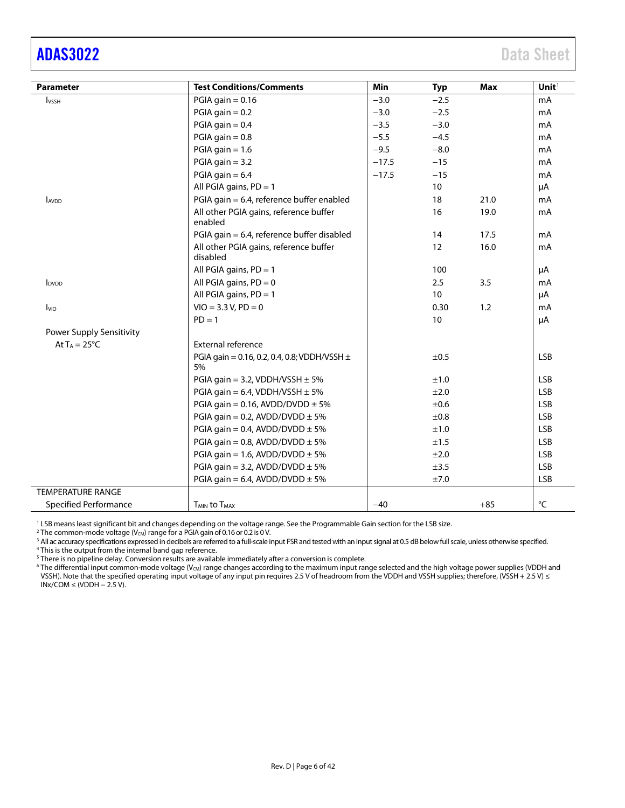## <span id="page-5-0"></span>[ADAS3022](http://www.analog.com/ADAS3022?doc=ADAS3022.pdf) Data Sheet

| <b>Parameter</b>             | <b>Test Conditions/Comments</b>                        | Min     | <b>Typ</b>      | <b>Max</b> | Unit $1$          |
|------------------------------|--------------------------------------------------------|---------|-----------------|------------|-------------------|
| <b>I</b> vss <sub>H</sub>    | PGIA gain $= 0.16$                                     | $-3.0$  | $-2.5$          |            | mA                |
|                              | PGIA gain $= 0.2$                                      | $-3.0$  | $-2.5$          |            | mA                |
|                              | PGIA gain $= 0.4$                                      | $-3.5$  | $-3.0$          |            | mA                |
|                              | PGIA gain $= 0.8$                                      | $-5.5$  | $-4.5$          |            | mA                |
|                              | PGIA gain $= 1.6$                                      | $-9.5$  | $-8.0$          |            | mA                |
|                              | $PGIA$ gain = 3.2                                      | $-17.5$ | $-15$           |            | mA                |
|                              | PGIA gain $= 6.4$                                      | $-17.5$ | $-15$           |            | mA                |
|                              | All PGIA gains, $PD = 1$                               |         | 10 <sup>°</sup> |            | $\mu$ A           |
| <b>AVDD</b>                  | PGIA gain = 6.4, reference buffer enabled              |         | 18              | 21.0       | mA                |
|                              | All other PGIA gains, reference buffer<br>enabled      |         | 16              | 19.0       | mA                |
|                              | PGIA gain = 6.4, reference buffer disabled             |         | 14              | 17.5       | mA                |
|                              | All other PGIA gains, reference buffer<br>disabled     |         | 12              | 16.0       | mA                |
|                              | All PGIA gains, $PD = 1$                               |         | 100             |            | μA                |
| <b>I</b> <sub>DVDD</sub>     | All PGIA gains, $PD = 0$                               |         | 2.5             | 3.5        | mA                |
|                              | All PGIA gains, $PD = 1$                               |         | 10 <sup>°</sup> |            | μA                |
| <b>I</b> vio                 | $VIO = 3.3 V, PD = 0$                                  |         | 0.30            | 1.2        | mA                |
|                              | $PD = 1$                                               |         | 10              |            | μA                |
| Power Supply Sensitivity     |                                                        |         |                 |            |                   |
| At $T_A = 25^{\circ}C$       | External reference                                     |         |                 |            |                   |
|                              | PGIA gain = 0.16, 0.2, 0.4, 0.8; VDDH/VSSH $\pm$<br>5% |         | ±0.5            |            | <b>LSB</b>        |
|                              | PGIA gain = 3.2, VDDH/VSSH $\pm$ 5%                    |         | ±1.0            |            | <b>LSB</b>        |
|                              | PGIA gain = 6.4, VDDH/VSSH $\pm$ 5%                    |         | ±2.0            |            | <b>LSB</b>        |
|                              | PGIA gain = 0.16, AVDD/DVDD $\pm$ 5%                   |         | ±0.6            |            | <b>LSB</b>        |
|                              | PGIA gain = 0.2, AVDD/DVDD $\pm$ 5%                    |         | ±0.8            |            | <b>LSB</b>        |
|                              | PGIA gain = 0.4, AVDD/DVDD $\pm$ 5%                    |         | ±1.0            |            | <b>LSB</b>        |
|                              | PGIA gain = 0.8, AVDD/DVDD $\pm$ 5%                    |         | ±1.5            |            | <b>LSB</b>        |
|                              | PGIA gain = 1.6, AVDD/DVDD $\pm$ 5%                    |         | ±2.0            |            | <b>LSB</b>        |
|                              | PGIA gain = 3.2, AVDD/DVDD $\pm$ 5%                    |         | ±3.5            |            | <b>LSB</b>        |
|                              | PGIA gain = 6.4, AVDD/DVDD $\pm$ 5%                    |         | ±7.0            |            | <b>LSB</b>        |
| <b>TEMPERATURE RANGE</b>     |                                                        |         |                 |            |                   |
| <b>Specified Performance</b> | <b>T<sub>MIN</sub></b> to T <sub>MAX</sub>             | $-40$   |                 | $+85$      | $^{\circ}{\sf C}$ |

<sup>1</sup> LSB means least significant bit and changes depending on the voltage range. See the Programmable Gain section for the LSB size. <sup>2</sup> The common-mode voltage (V<sub>CM</sub>) range for a PGIA gain of 0.16 or 0.2 is 0 V.

<sup>3</sup> All ac accuracy specifications expressed in decibels are referred to a full-scale input FSR and tested with an input signal at 0.5 dB below full scale, unless otherwise specified.

<sup>4</sup> This is the output from the internal band gap reference.

<sup>5</sup> There is no pipeline delay. Conversion results are available immediately after a conversion is complete.

 $^6$  The differential input common-mode voltage (V $_{\rm CM}$ ) range changes according to the maximum input range selected and the high voltage power supplies (VDDH and VSSH). Note that the specified operating input voltage of any input pin requires 2.5 V of headroom from the VDDH and VSSH supplies; therefore, (VSSH + 2.5 V) ≤  $INx/COM \leq (VDDH - 2.5 V).$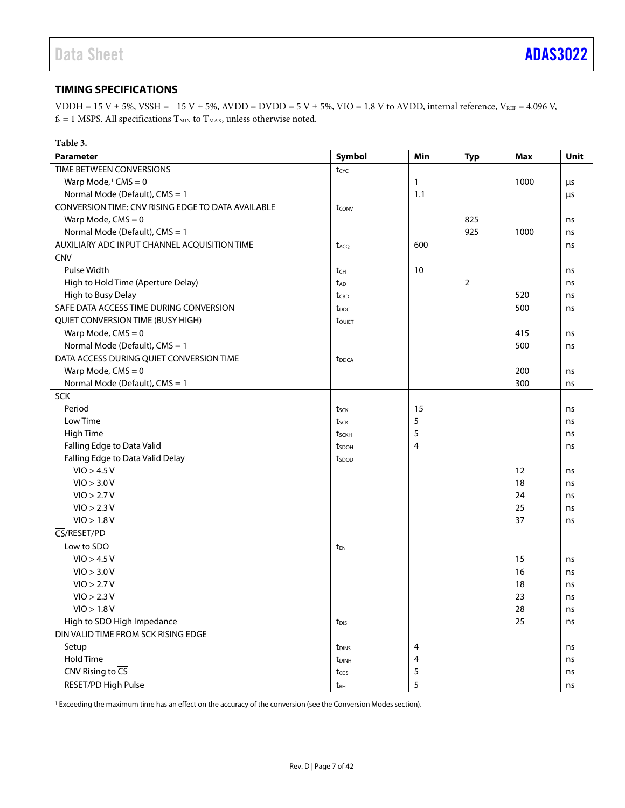#### <span id="page-6-0"></span>**TIMING SPECIFICATIONS**

VDDH = 15 V ± 5%, VSSH =  $-15$  V ± 5%, AVDD = DVDD = 5 V ± 5%, VIO = 1.8 V to AVDD, internal reference, VREF = 4.096 V,  $f_s = 1$  MSPS. All specifications  $T_{MIN}$  to  $T_{MAX}$ , unless otherwise noted.

| Symbol<br>Min<br>Unit<br><b>Parameter</b><br><b>Typ</b><br>Max<br>TIME BETWEEN CONVERSIONS<br>tcyc<br>Warp Mode, <sup>1</sup> CMS = $0$<br>1000<br>1<br>μs<br>Normal Mode (Default), CMS = 1<br>1.1<br>μs<br>CONVERSION TIME: CNV RISING EDGE TO DATA AVAILABLE<br>tconv<br>Warp Mode, $CMS = 0$<br>825<br>ns<br>925<br>Normal Mode (Default), CMS = 1<br>1000<br>ns<br>AUXILIARY ADC INPUT CHANNEL ACQUISITION TIME<br>600<br>t <sub>ACQ</sub><br>ns<br><b>CNV</b><br>Pulse Width<br>10<br>tch<br>ns<br>$\overline{2}$<br>High to Hold Time (Aperture Delay)<br>ns<br>t <sub>AD</sub><br>High to Busy Delay<br>520<br>ns<br>tcbD<br>SAFE DATA ACCESS TIME DURING CONVERSION<br>500<br>t <sub>DDC</sub><br>ns<br>QUIET CONVERSION TIME (BUSY HIGH)<br>tQUIET<br>Warp Mode, $CMS = 0$<br>415<br>ns<br>500<br>Normal Mode (Default), CMS = 1<br>ns<br>DATA ACCESS DURING QUIET CONVERSION TIME<br>t <sub>DDCA</sub><br>Warp Mode, $CMS = 0$<br>200<br>ns<br>Normal Mode (Default), CMS = 1<br>300<br>ns<br><b>SCK</b><br>Period<br>15<br>tsck<br>ns<br>Low Time<br>5<br>tsckl<br>ns<br>High Time<br>5<br>tsckh<br>ns<br>Falling Edge to Data Valid<br>4<br>t <sub>sdoh</sub><br>ns<br>Falling Edge to Data Valid Delay<br>tspop<br>VIO > 4.5 V<br>12<br>ns<br>VIO > 3.0 V<br>18<br>ns<br>VIO > 2.7 V<br>24<br>ns<br>VIO > 2.3 V<br>25<br>ns<br>VIO > 1.8 V<br>37<br>ns<br>CS/RESET/PD<br>Low to SDO<br>t <sub>EN</sub><br>VIO > 4.5 V<br>15<br>ns<br>VIO > 3.0 V<br>16<br>ns<br>VIO > 2.7 V<br>18<br>ns<br>VIO > 2.3 V<br>23<br>ns<br>VIO > 1.8 V<br>28<br>ns<br>High to SDO High Impedance<br>25<br>ns<br>t <sub>DIS</sub><br>DIN VALID TIME FROM SCK RISING EDGE<br>Setup<br>4<br>t <sub>DINS</sub><br>ns<br>Hold Time<br>4<br>t <sub>DINH</sub><br>ns<br>CNV Rising to $\overline{CS}$<br>5<br>tccs<br>ns | Table 3. |  |  |  |
|------------------------------------------------------------------------------------------------------------------------------------------------------------------------------------------------------------------------------------------------------------------------------------------------------------------------------------------------------------------------------------------------------------------------------------------------------------------------------------------------------------------------------------------------------------------------------------------------------------------------------------------------------------------------------------------------------------------------------------------------------------------------------------------------------------------------------------------------------------------------------------------------------------------------------------------------------------------------------------------------------------------------------------------------------------------------------------------------------------------------------------------------------------------------------------------------------------------------------------------------------------------------------------------------------------------------------------------------------------------------------------------------------------------------------------------------------------------------------------------------------------------------------------------------------------------------------------------------------------------------------------------------------------------------------------------------------------------------------------------------------------------------------------------------------------|----------|--|--|--|
|                                                                                                                                                                                                                                                                                                                                                                                                                                                                                                                                                                                                                                                                                                                                                                                                                                                                                                                                                                                                                                                                                                                                                                                                                                                                                                                                                                                                                                                                                                                                                                                                                                                                                                                                                                                                            |          |  |  |  |
|                                                                                                                                                                                                                                                                                                                                                                                                                                                                                                                                                                                                                                                                                                                                                                                                                                                                                                                                                                                                                                                                                                                                                                                                                                                                                                                                                                                                                                                                                                                                                                                                                                                                                                                                                                                                            |          |  |  |  |
|                                                                                                                                                                                                                                                                                                                                                                                                                                                                                                                                                                                                                                                                                                                                                                                                                                                                                                                                                                                                                                                                                                                                                                                                                                                                                                                                                                                                                                                                                                                                                                                                                                                                                                                                                                                                            |          |  |  |  |
|                                                                                                                                                                                                                                                                                                                                                                                                                                                                                                                                                                                                                                                                                                                                                                                                                                                                                                                                                                                                                                                                                                                                                                                                                                                                                                                                                                                                                                                                                                                                                                                                                                                                                                                                                                                                            |          |  |  |  |
|                                                                                                                                                                                                                                                                                                                                                                                                                                                                                                                                                                                                                                                                                                                                                                                                                                                                                                                                                                                                                                                                                                                                                                                                                                                                                                                                                                                                                                                                                                                                                                                                                                                                                                                                                                                                            |          |  |  |  |
|                                                                                                                                                                                                                                                                                                                                                                                                                                                                                                                                                                                                                                                                                                                                                                                                                                                                                                                                                                                                                                                                                                                                                                                                                                                                                                                                                                                                                                                                                                                                                                                                                                                                                                                                                                                                            |          |  |  |  |
|                                                                                                                                                                                                                                                                                                                                                                                                                                                                                                                                                                                                                                                                                                                                                                                                                                                                                                                                                                                                                                                                                                                                                                                                                                                                                                                                                                                                                                                                                                                                                                                                                                                                                                                                                                                                            |          |  |  |  |
|                                                                                                                                                                                                                                                                                                                                                                                                                                                                                                                                                                                                                                                                                                                                                                                                                                                                                                                                                                                                                                                                                                                                                                                                                                                                                                                                                                                                                                                                                                                                                                                                                                                                                                                                                                                                            |          |  |  |  |
|                                                                                                                                                                                                                                                                                                                                                                                                                                                                                                                                                                                                                                                                                                                                                                                                                                                                                                                                                                                                                                                                                                                                                                                                                                                                                                                                                                                                                                                                                                                                                                                                                                                                                                                                                                                                            |          |  |  |  |
|                                                                                                                                                                                                                                                                                                                                                                                                                                                                                                                                                                                                                                                                                                                                                                                                                                                                                                                                                                                                                                                                                                                                                                                                                                                                                                                                                                                                                                                                                                                                                                                                                                                                                                                                                                                                            |          |  |  |  |
|                                                                                                                                                                                                                                                                                                                                                                                                                                                                                                                                                                                                                                                                                                                                                                                                                                                                                                                                                                                                                                                                                                                                                                                                                                                                                                                                                                                                                                                                                                                                                                                                                                                                                                                                                                                                            |          |  |  |  |
|                                                                                                                                                                                                                                                                                                                                                                                                                                                                                                                                                                                                                                                                                                                                                                                                                                                                                                                                                                                                                                                                                                                                                                                                                                                                                                                                                                                                                                                                                                                                                                                                                                                                                                                                                                                                            |          |  |  |  |
|                                                                                                                                                                                                                                                                                                                                                                                                                                                                                                                                                                                                                                                                                                                                                                                                                                                                                                                                                                                                                                                                                                                                                                                                                                                                                                                                                                                                                                                                                                                                                                                                                                                                                                                                                                                                            |          |  |  |  |
|                                                                                                                                                                                                                                                                                                                                                                                                                                                                                                                                                                                                                                                                                                                                                                                                                                                                                                                                                                                                                                                                                                                                                                                                                                                                                                                                                                                                                                                                                                                                                                                                                                                                                                                                                                                                            |          |  |  |  |
|                                                                                                                                                                                                                                                                                                                                                                                                                                                                                                                                                                                                                                                                                                                                                                                                                                                                                                                                                                                                                                                                                                                                                                                                                                                                                                                                                                                                                                                                                                                                                                                                                                                                                                                                                                                                            |          |  |  |  |
|                                                                                                                                                                                                                                                                                                                                                                                                                                                                                                                                                                                                                                                                                                                                                                                                                                                                                                                                                                                                                                                                                                                                                                                                                                                                                                                                                                                                                                                                                                                                                                                                                                                                                                                                                                                                            |          |  |  |  |
|                                                                                                                                                                                                                                                                                                                                                                                                                                                                                                                                                                                                                                                                                                                                                                                                                                                                                                                                                                                                                                                                                                                                                                                                                                                                                                                                                                                                                                                                                                                                                                                                                                                                                                                                                                                                            |          |  |  |  |
|                                                                                                                                                                                                                                                                                                                                                                                                                                                                                                                                                                                                                                                                                                                                                                                                                                                                                                                                                                                                                                                                                                                                                                                                                                                                                                                                                                                                                                                                                                                                                                                                                                                                                                                                                                                                            |          |  |  |  |
|                                                                                                                                                                                                                                                                                                                                                                                                                                                                                                                                                                                                                                                                                                                                                                                                                                                                                                                                                                                                                                                                                                                                                                                                                                                                                                                                                                                                                                                                                                                                                                                                                                                                                                                                                                                                            |          |  |  |  |
|                                                                                                                                                                                                                                                                                                                                                                                                                                                                                                                                                                                                                                                                                                                                                                                                                                                                                                                                                                                                                                                                                                                                                                                                                                                                                                                                                                                                                                                                                                                                                                                                                                                                                                                                                                                                            |          |  |  |  |
|                                                                                                                                                                                                                                                                                                                                                                                                                                                                                                                                                                                                                                                                                                                                                                                                                                                                                                                                                                                                                                                                                                                                                                                                                                                                                                                                                                                                                                                                                                                                                                                                                                                                                                                                                                                                            |          |  |  |  |
|                                                                                                                                                                                                                                                                                                                                                                                                                                                                                                                                                                                                                                                                                                                                                                                                                                                                                                                                                                                                                                                                                                                                                                                                                                                                                                                                                                                                                                                                                                                                                                                                                                                                                                                                                                                                            |          |  |  |  |
|                                                                                                                                                                                                                                                                                                                                                                                                                                                                                                                                                                                                                                                                                                                                                                                                                                                                                                                                                                                                                                                                                                                                                                                                                                                                                                                                                                                                                                                                                                                                                                                                                                                                                                                                                                                                            |          |  |  |  |
|                                                                                                                                                                                                                                                                                                                                                                                                                                                                                                                                                                                                                                                                                                                                                                                                                                                                                                                                                                                                                                                                                                                                                                                                                                                                                                                                                                                                                                                                                                                                                                                                                                                                                                                                                                                                            |          |  |  |  |
|                                                                                                                                                                                                                                                                                                                                                                                                                                                                                                                                                                                                                                                                                                                                                                                                                                                                                                                                                                                                                                                                                                                                                                                                                                                                                                                                                                                                                                                                                                                                                                                                                                                                                                                                                                                                            |          |  |  |  |
|                                                                                                                                                                                                                                                                                                                                                                                                                                                                                                                                                                                                                                                                                                                                                                                                                                                                                                                                                                                                                                                                                                                                                                                                                                                                                                                                                                                                                                                                                                                                                                                                                                                                                                                                                                                                            |          |  |  |  |
|                                                                                                                                                                                                                                                                                                                                                                                                                                                                                                                                                                                                                                                                                                                                                                                                                                                                                                                                                                                                                                                                                                                                                                                                                                                                                                                                                                                                                                                                                                                                                                                                                                                                                                                                                                                                            |          |  |  |  |
|                                                                                                                                                                                                                                                                                                                                                                                                                                                                                                                                                                                                                                                                                                                                                                                                                                                                                                                                                                                                                                                                                                                                                                                                                                                                                                                                                                                                                                                                                                                                                                                                                                                                                                                                                                                                            |          |  |  |  |
|                                                                                                                                                                                                                                                                                                                                                                                                                                                                                                                                                                                                                                                                                                                                                                                                                                                                                                                                                                                                                                                                                                                                                                                                                                                                                                                                                                                                                                                                                                                                                                                                                                                                                                                                                                                                            |          |  |  |  |
|                                                                                                                                                                                                                                                                                                                                                                                                                                                                                                                                                                                                                                                                                                                                                                                                                                                                                                                                                                                                                                                                                                                                                                                                                                                                                                                                                                                                                                                                                                                                                                                                                                                                                                                                                                                                            |          |  |  |  |
|                                                                                                                                                                                                                                                                                                                                                                                                                                                                                                                                                                                                                                                                                                                                                                                                                                                                                                                                                                                                                                                                                                                                                                                                                                                                                                                                                                                                                                                                                                                                                                                                                                                                                                                                                                                                            |          |  |  |  |
|                                                                                                                                                                                                                                                                                                                                                                                                                                                                                                                                                                                                                                                                                                                                                                                                                                                                                                                                                                                                                                                                                                                                                                                                                                                                                                                                                                                                                                                                                                                                                                                                                                                                                                                                                                                                            |          |  |  |  |
|                                                                                                                                                                                                                                                                                                                                                                                                                                                                                                                                                                                                                                                                                                                                                                                                                                                                                                                                                                                                                                                                                                                                                                                                                                                                                                                                                                                                                                                                                                                                                                                                                                                                                                                                                                                                            |          |  |  |  |
|                                                                                                                                                                                                                                                                                                                                                                                                                                                                                                                                                                                                                                                                                                                                                                                                                                                                                                                                                                                                                                                                                                                                                                                                                                                                                                                                                                                                                                                                                                                                                                                                                                                                                                                                                                                                            |          |  |  |  |
|                                                                                                                                                                                                                                                                                                                                                                                                                                                                                                                                                                                                                                                                                                                                                                                                                                                                                                                                                                                                                                                                                                                                                                                                                                                                                                                                                                                                                                                                                                                                                                                                                                                                                                                                                                                                            |          |  |  |  |
|                                                                                                                                                                                                                                                                                                                                                                                                                                                                                                                                                                                                                                                                                                                                                                                                                                                                                                                                                                                                                                                                                                                                                                                                                                                                                                                                                                                                                                                                                                                                                                                                                                                                                                                                                                                                            |          |  |  |  |
|                                                                                                                                                                                                                                                                                                                                                                                                                                                                                                                                                                                                                                                                                                                                                                                                                                                                                                                                                                                                                                                                                                                                                                                                                                                                                                                                                                                                                                                                                                                                                                                                                                                                                                                                                                                                            |          |  |  |  |
|                                                                                                                                                                                                                                                                                                                                                                                                                                                                                                                                                                                                                                                                                                                                                                                                                                                                                                                                                                                                                                                                                                                                                                                                                                                                                                                                                                                                                                                                                                                                                                                                                                                                                                                                                                                                            |          |  |  |  |
|                                                                                                                                                                                                                                                                                                                                                                                                                                                                                                                                                                                                                                                                                                                                                                                                                                                                                                                                                                                                                                                                                                                                                                                                                                                                                                                                                                                                                                                                                                                                                                                                                                                                                                                                                                                                            |          |  |  |  |
|                                                                                                                                                                                                                                                                                                                                                                                                                                                                                                                                                                                                                                                                                                                                                                                                                                                                                                                                                                                                                                                                                                                                                                                                                                                                                                                                                                                                                                                                                                                                                                                                                                                                                                                                                                                                            |          |  |  |  |
|                                                                                                                                                                                                                                                                                                                                                                                                                                                                                                                                                                                                                                                                                                                                                                                                                                                                                                                                                                                                                                                                                                                                                                                                                                                                                                                                                                                                                                                                                                                                                                                                                                                                                                                                                                                                            |          |  |  |  |
|                                                                                                                                                                                                                                                                                                                                                                                                                                                                                                                                                                                                                                                                                                                                                                                                                                                                                                                                                                                                                                                                                                                                                                                                                                                                                                                                                                                                                                                                                                                                                                                                                                                                                                                                                                                                            |          |  |  |  |
| RESET/PD High Pulse<br>$\mathsf S$<br>t <sub>RH</sub><br>ns                                                                                                                                                                                                                                                                                                                                                                                                                                                                                                                                                                                                                                                                                                                                                                                                                                                                                                                                                                                                                                                                                                                                                                                                                                                                                                                                                                                                                                                                                                                                                                                                                                                                                                                                                |          |  |  |  |

<span id="page-6-1"></span><sup>1</sup> Exceeding the maximum time has an effect on the accuracy of the conversion (see th[e Conversion Modes](#page-31-0) section).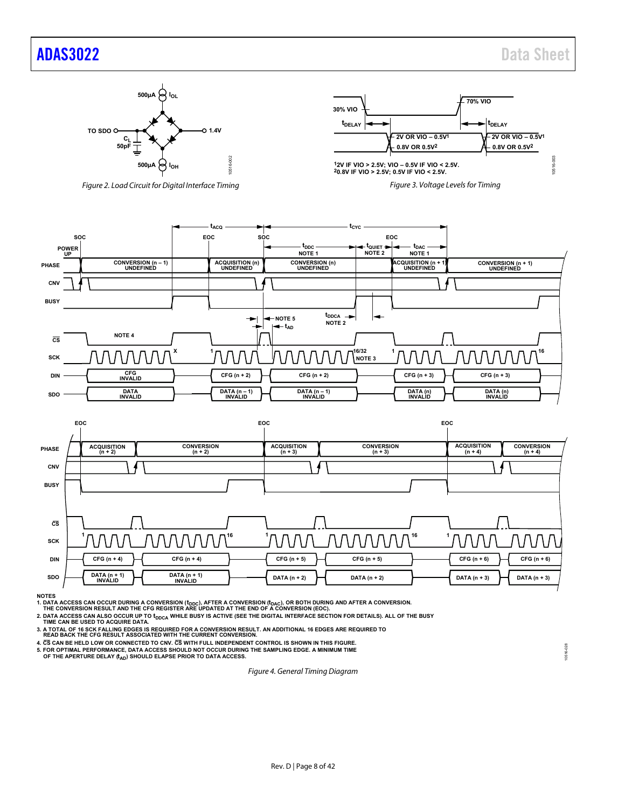### [ADAS3022](http://www.analog.com/ADAS3022?doc=ADAS3022.pdf) Data Sheet



*Figure 2. Load Circuit for Digital Interface Timing*







**NOTES**

1. DATA ACCESS CAN OCCUR DURING A CONVERSION (t<sub>DDC</sub>), AFTER A CONVERSION (t<sub>DAC</sub>), OR BOTH DURING AND AFTER A CONVERSION.<br>THE CONVERSION RESULT AND THE CFG REGISTER ARE UPDATED AT THE END OF A CONVERSION (EOC).

2. DATA ACCESS CAN ALSO OCCUR UP TO  ${\rm t_{DDCA}}$  WHILE BUSY IS ACTIVE (SEE THE DIGITAL INTERFACE SECTION FOR DETAILS). ALL OF THE BUSY TIME CAN BE USED TO ACQUIRE DATA.

**3. A TOTAL OF 16 SCK FALLING EDGES IS REQUIRED FOR A CONVERSION RESULT. AN ADDITIONAL 16 EDGES ARE REQUIRED TO READ BACK THE CFG RESULT ASSOCIATED WITH THE CURRENT CONVERSION.**

**4. CS CAN BE HELD LOW OR CONNECTED TO CNV. CS WITH FULL INDEPENDENT CONTROL IS SHOWN IN THIS FIGURE.**

**5. FOR OPTIMAL PERFORMANCE, DATA ACCESS SHOULD NOT OCCUR DURING THE SAMPLING EDGE. A MINIMUM TIME**

OF THE APERTURE DELAY (t<sub>AD</sub>) SHOULD ELAPSE PRIOR TO DATA ACCESS.

*Figure 4. General Timing Diagram*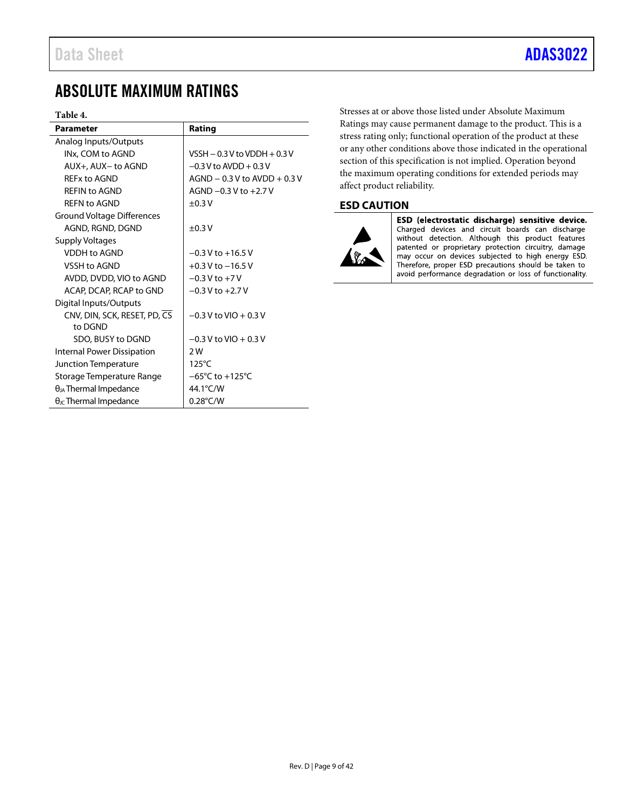### <span id="page-8-0"></span>ABSOLUTE MAXIMUM RATINGS

#### <span id="page-8-2"></span>**Table 4.**

| <b>Parameter</b>                       | Rating                              |
|----------------------------------------|-------------------------------------|
| Analog Inputs/Outputs                  |                                     |
| INx, COM to AGND                       | VSSH $-0.3$ V to VDDH $+0.3$ V      |
| AUX+, AUX- to AGND                     | $-0.3$ V to AVDD + 0.3 V            |
| RFFx to AGND                           | $AGND - 0.3 V$ to $AVDD + 0.3 V$    |
| <b>REFIN to AGND</b>                   | AGND $-0.3$ V to $+2.7$ V           |
| <b>REFN to AGND</b>                    | $\pm 0.3$ V                         |
| <b>Ground Voltage Differences</b>      |                                     |
| AGND, RGND, DGND                       | $\pm 0.3$ V                         |
| <b>Supply Voltages</b>                 |                                     |
| <b>VDDH to AGND</b>                    | $-0.3$ V to $+16.5$ V               |
| VSSH to AGND                           | $+0.3$ V to $-16.5$ V               |
| AVDD, DVDD, VIO to AGND                | $-0.3$ V to $+7$ V                  |
| ACAP, DCAP, RCAP to GND                | $-0.3$ V to $+2.7$ V                |
| Digital Inputs/Outputs                 |                                     |
| CNV, DIN, SCK, RESET, PD, CS           | $-0.3$ V to VIO $+0.3$ V            |
| to DGND                                |                                     |
| SDO, BUSY to DGND                      | $-0.3$ V to VIO + 0.3 V             |
| Internal Power Dissipation             | 2W                                  |
| Junction Temperature                   | $125^{\circ}$ C                     |
| Storage Temperature Range              | $-65^{\circ}$ C to $+125^{\circ}$ C |
| $\theta_{JA}$ Thermal Impedance        | 44.1°C/W                            |
| $\theta_{\text{JC}}$ Thermal Impedance | $0.28^{\circ}$ C/W                  |

Stresses at or above those listed under Absolute Maximum Ratings may cause permanent damage to the product. This is a stress rating only; functional operation of the product at these or any other conditions above those indicated in the operational section of this specification is not implied. Operation beyond the maximum operating conditions for extended periods may affect product reliability.

#### <span id="page-8-1"></span>**ESD CAUTION**



ESD (electrostatic discharge) sensitive device. Charged devices and circuit boards can discharge without detection. Although this product features patented or proprietary protection circuitry, damage may occur on devices subjected to high energy ESD. Therefore, proper ESD precautions should be taken to avoid performance degradation or loss of functionality.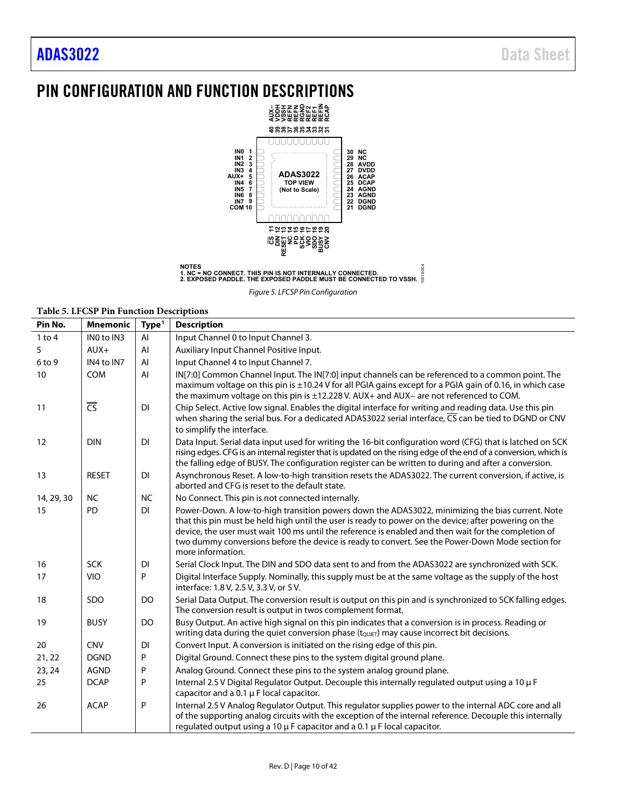## <span id="page-9-0"></span>PIN CONFIGURATION AND FUNCTION DESCRIPTIONS



**NOTES 1. NC = NO CONNECT. THIS PIN IS NOT INTERNALLY CONNECTED. 2. EXPOSED PADDLE. THE EXPOSED PADDLE MUST BE CONNECTED TO VSSH.** 10516-004

*Figure 5. LFCSP Pin Configuration*

#### **Table 5. LFCSP Pin Function Descriptions**

| Pin No.    | <b>Mnemonic</b>        | Type <sup>1</sup> | <b>Description</b>                                                                                                                                                                                                                                                                                                                                                                                                                         |
|------------|------------------------|-------------------|--------------------------------------------------------------------------------------------------------------------------------------------------------------------------------------------------------------------------------------------------------------------------------------------------------------------------------------------------------------------------------------------------------------------------------------------|
| $1$ to $4$ | INO to IN3             | AI                | Input Channel 0 to Input Channel 3.                                                                                                                                                                                                                                                                                                                                                                                                        |
| 5          | $AUX+$                 | AI                | Auxiliary Input Channel Positive Input.                                                                                                                                                                                                                                                                                                                                                                                                    |
| 6 to 9     | IN4 to IN7             | AI                | Input Channel 4 to Input Channel 7.                                                                                                                                                                                                                                                                                                                                                                                                        |
| 10         | <b>COM</b>             | AI                | IN[7:0] Common Channel Input. The IN[7:0] input channels can be referenced to a common point. The<br>maximum voltage on this pin is ±10.24 V for all PGIA gains except for a PGIA gain of 0.16, in which case<br>the maximum voltage on this pin is ±12.228 V. AUX+ and AUX- are not referenced to COM.                                                                                                                                    |
| 11         | $\overline{\text{CS}}$ | <b>DI</b>         | Chip Select. Active low signal. Enables the digital interface for writing and reading data. Use this pin<br>when sharing the serial bus. For a dedicated ADAS3022 serial interface, CS can be tied to DGND or CNV                                                                                                                                                                                                                          |
|            |                        |                   | to simplify the interface.                                                                                                                                                                                                                                                                                                                                                                                                                 |
| 12         | <b>DIN</b>             | <b>DI</b>         | Data Input. Serial data input used for writing the 16-bit configuration word (CFG) that is latched on SCK<br>rising edges. CFG is an internal register that is updated on the rising edge of the end of a conversion, which is<br>the falling edge of BUSY. The configuration register can be written to during and after a conversion.                                                                                                    |
| 13         | <b>RESET</b>           | <b>DI</b>         | Asynchronous Reset. A low-to-high transition resets the ADAS3022. The current conversion, if active, is<br>aborted and CFG is reset to the default state.                                                                                                                                                                                                                                                                                  |
| 14, 29, 30 | <b>NC</b>              | <b>NC</b>         | No Connect. This pin is not connected internally.                                                                                                                                                                                                                                                                                                                                                                                          |
| 15         | <b>PD</b>              | <b>DI</b>         | Power-Down. A low-to-high transition powers down the ADAS3022, minimizing the bias current. Note<br>that this pin must be held high until the user is ready to power on the device; after powering on the<br>device, the user must wait 100 ms until the reference is enabled and then wait for the completion of<br>two dummy conversions before the device is ready to convert. See the Power-Down Mode section for<br>more information. |
| 16         | <b>SCK</b>             | <b>DI</b>         | Serial Clock Input. The DIN and SDO data sent to and from the ADAS3022 are synchronized with SCK.                                                                                                                                                                                                                                                                                                                                          |
| 17         | <b>VIO</b>             | P                 | Digital Interface Supply. Nominally, this supply must be at the same voltage as the supply of the host<br>interface: 1.8 V, 2.5 V, 3.3 V, or 5 V.                                                                                                                                                                                                                                                                                          |
| 18         | SDO                    | DO                | Serial Data Output. The conversion result is output on this pin and is synchronized to SCK falling edges.<br>The conversion result is output in twos complement format.                                                                                                                                                                                                                                                                    |
| 19         | <b>BUSY</b>            | DO                | Busy Output. An active high signal on this pin indicates that a conversion is in process. Reading or<br>Writing data during the quiet conversion phase (tQUIET) may cause incorrect bit decisions.                                                                                                                                                                                                                                         |
| 20         | <b>CNV</b>             | DI                | Convert Input. A conversion is initiated on the rising edge of this pin.                                                                                                                                                                                                                                                                                                                                                                   |
| 21, 22     | <b>DGND</b>            | P                 | Digital Ground. Connect these pins to the system digital ground plane.                                                                                                                                                                                                                                                                                                                                                                     |
| 23, 24     | <b>AGND</b>            | P                 | Analog Ground. Connect these pins to the system analog ground plane.                                                                                                                                                                                                                                                                                                                                                                       |
| 25         | <b>DCAP</b>            | P                 | Internal 2.5 V Digital Regulator Output. Decouple this internally regulated output using a 10 µ F<br>capacitor and a 0.1 µ F local capacitor.                                                                                                                                                                                                                                                                                              |
| 26         | <b>ACAP</b>            | ${\sf P}$         | Internal 2.5 V Analog Regulator Output. This regulator supplies power to the internal ADC core and all<br>of the supporting analog circuits with the exception of the internal reference. Decouple this internally<br>regulated output using a 10 $\mu$ F capacitor and a 0.1 $\mu$ F local capacitor.                                                                                                                                     |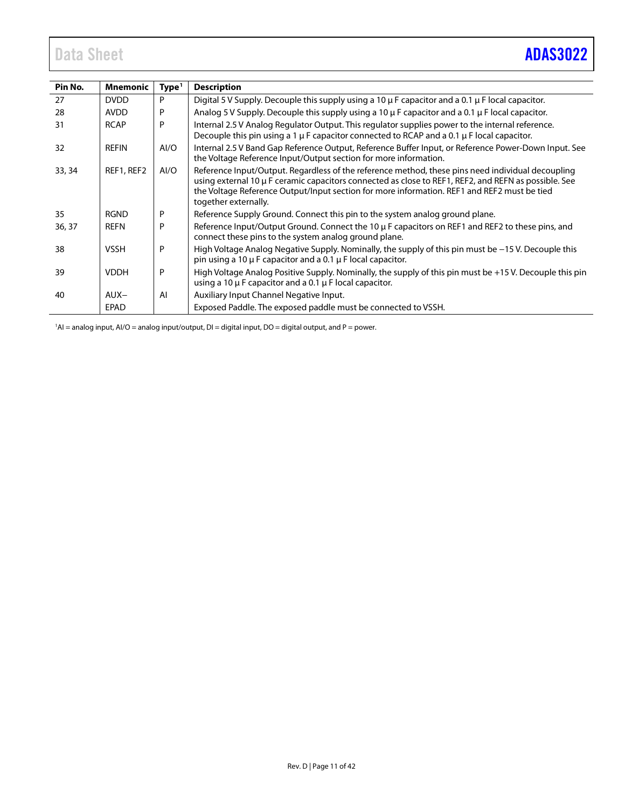<span id="page-10-0"></span>

| Pin No. | <b>Mnemonic</b> | Type <sup>1</sup> | <b>Description</b>                                                                                                                                                                                                                                                                                                               |
|---------|-----------------|-------------------|----------------------------------------------------------------------------------------------------------------------------------------------------------------------------------------------------------------------------------------------------------------------------------------------------------------------------------|
| 27      | <b>DVDD</b>     | P                 | Digital 5 V Supply. Decouple this supply using a 10 $\mu$ F capacitor and a 0.1 $\mu$ F local capacitor.                                                                                                                                                                                                                         |
| 28      | <b>AVDD</b>     | P                 | Analog 5 V Supply. Decouple this supply using a 10 $\mu$ F capacitor and a 0.1 $\mu$ F local capacitor.                                                                                                                                                                                                                          |
| 31      | <b>RCAP</b>     | P                 | Internal 2.5 V Analog Regulator Output. This regulator supplies power to the internal reference.<br>Decouple this pin using a 1 $\mu$ F capacitor connected to RCAP and a 0.1 $\mu$ F local capacitor.                                                                                                                           |
| 32      | <b>REFIN</b>    | AI/O              | Internal 2.5 V Band Gap Reference Output, Reference Buffer Input, or Reference Power-Down Input. See<br>the Voltage Reference Input/Output section for more information.                                                                                                                                                         |
| 33, 34  | REF1, REF2      | AI/O              | Reference Input/Output. Regardless of the reference method, these pins need individual decoupling<br>using external 10 µ F ceramic capacitors connected as close to REF1, REF2, and REFN as possible. See<br>the Voltage Reference Output/Input section for more information. REF1 and REF2 must be tied<br>together externally. |
| 35      | <b>RGND</b>     | P                 | Reference Supply Ground. Connect this pin to the system analog ground plane.                                                                                                                                                                                                                                                     |
| 36, 37  | <b>REFN</b>     | P                 | Reference Input/Output Ground. Connect the 10 $\mu$ F capacitors on REF1 and REF2 to these pins, and<br>connect these pins to the system analog ground plane.                                                                                                                                                                    |
| 38      | <b>VSSH</b>     | P                 | High Voltage Analog Negative Supply. Nominally, the supply of this pin must be $-15$ V. Decouple this<br>pin using a 10 $\mu$ F capacitor and a 0.1 $\mu$ F local capacitor.                                                                                                                                                     |
| 39      | <b>VDDH</b>     | P                 | High Voltage Analog Positive Supply. Nominally, the supply of this pin must be +15 V. Decouple this pin<br>using a 10 $\mu$ F capacitor and a 0.1 $\mu$ F local capacitor.                                                                                                                                                       |
| 40      | $AUX-$          | Al                | Auxiliary Input Channel Negative Input.                                                                                                                                                                                                                                                                                          |
|         | <b>EPAD</b>     |                   | Exposed Paddle. The exposed paddle must be connected to VSSH.                                                                                                                                                                                                                                                                    |

1 AI = analog input, AI/O = analog input/output, DI = digital input, DO = digital output, and P = power.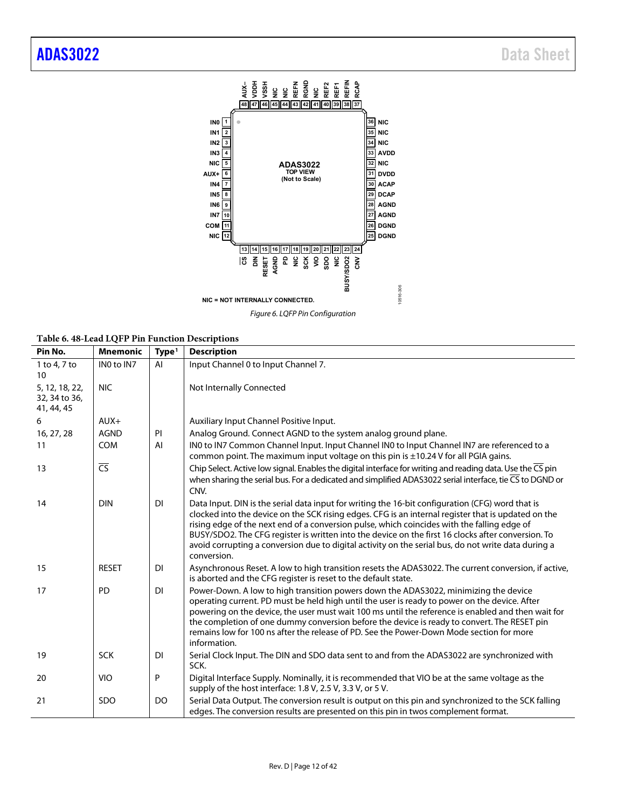<span id="page-11-0"></span>

*Figure 6. LQFP Pin Configuration*

| Pin No.                                       | <b>Mnemonic</b>          | Type <sup>1</sup> | <b>Description</b>                                                                                                                                                                                                                                                                                                                                                                                                                                                                                                                 |
|-----------------------------------------------|--------------------------|-------------------|------------------------------------------------------------------------------------------------------------------------------------------------------------------------------------------------------------------------------------------------------------------------------------------------------------------------------------------------------------------------------------------------------------------------------------------------------------------------------------------------------------------------------------|
| 1 to 4, 7 to<br>10                            | IN0 to IN7               | AI                | Input Channel 0 to Input Channel 7.                                                                                                                                                                                                                                                                                                                                                                                                                                                                                                |
| 5, 12, 18, 22,<br>32, 34 to 36,<br>41, 44, 45 | <b>NIC</b>               |                   | Not Internally Connected                                                                                                                                                                                                                                                                                                                                                                                                                                                                                                           |
| 6                                             | $AUX+$                   |                   | Auxiliary Input Channel Positive Input.                                                                                                                                                                                                                                                                                                                                                                                                                                                                                            |
| 16, 27, 28                                    | <b>AGND</b>              | PI                | Analog Ground. Connect AGND to the system analog ground plane.                                                                                                                                                                                                                                                                                                                                                                                                                                                                     |
| 11                                            | <b>COM</b>               | AI                | IN0 to IN7 Common Channel Input. Input Channel IN0 to Input Channel IN7 are referenced to a<br>common point. The maximum input voltage on this pin is ±10.24 V for all PGIA gains.                                                                                                                                                                                                                                                                                                                                                 |
| 13                                            | $\overline{\mathsf{CS}}$ |                   | Chip Select. Active low signal. Enables the digital interface for writing and reading data. Use the $\overline{\mathsf{CS}}$ pin<br>when sharing the serial bus. For a dedicated and simplified ADAS3022 serial interface, tie CS to DGND or<br>CNV.                                                                                                                                                                                                                                                                               |
| 14                                            | <b>DIN</b>               | DI                | Data Input. DIN is the serial data input for writing the 16-bit configuration (CFG) word that is<br>clocked into the device on the SCK rising edges. CFG is an internal register that is updated on the<br>rising edge of the next end of a conversion pulse, which coincides with the falling edge of<br>BUSY/SDO2. The CFG register is written into the device on the first 16 clocks after conversion. To<br>avoid corrupting a conversion due to digital activity on the serial bus, do not write data during a<br>conversion. |
| 15                                            | <b>RESET</b>             | DI                | Asynchronous Reset. A low to high transition resets the ADAS3022. The current conversion, if active,<br>is aborted and the CFG register is reset to the default state.                                                                                                                                                                                                                                                                                                                                                             |
| 17                                            | PD                       | <b>DI</b>         | Power-Down. A low to high transition powers down the ADAS3022, minimizing the device<br>operating current. PD must be held high until the user is ready to power on the device. After<br>powering on the device, the user must wait 100 ms until the reference is enabled and then wait for<br>the completion of one dummy conversion before the device is ready to convert. The RESET pin<br>remains low for 100 ns after the release of PD. See the Power-Down Mode section for more<br>information.                             |
| 19                                            | <b>SCK</b>               | DI                | Serial Clock Input. The DIN and SDO data sent to and from the ADAS3022 are synchronized with<br>SCK.                                                                                                                                                                                                                                                                                                                                                                                                                               |
| 20                                            | <b>VIO</b>               | P                 | Digital Interface Supply. Nominally, it is recommended that VIO be at the same voltage as the<br>supply of the host interface: 1.8 V, 2.5 V, 3.3 V, or 5 V.                                                                                                                                                                                                                                                                                                                                                                        |
| 21                                            | <b>SDO</b>               | DO                | Serial Data Output. The conversion result is output on this pin and synchronized to the SCK falling<br>edges. The conversion results are presented on this pin in twos complement format.                                                                                                                                                                                                                                                                                                                                          |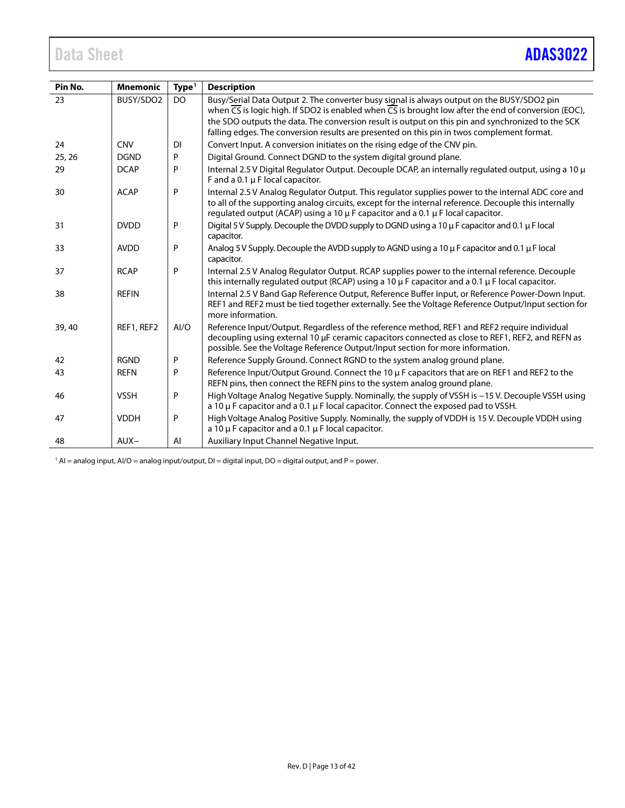<span id="page-12-0"></span>

| Pin No. | <b>Mnemonic</b> | Type <sup>1</sup> | <b>Description</b>                                                                                                                                                                                                                                                                                                               |
|---------|-----------------|-------------------|----------------------------------------------------------------------------------------------------------------------------------------------------------------------------------------------------------------------------------------------------------------------------------------------------------------------------------|
| 23      | BUSY/SDO2       | DO                | Busy/Serial Data Output 2. The converter busy signal is always output on the BUSY/SDO2 pin<br>when $\overline{CS}$ is logic high. If SDO2 is enabled when $\overline{CS}$ is brought low after the end of conversion (EOC),<br>the SDO outputs the data. The conversion result is output on this pin and synchronized to the SCK |
|         |                 |                   | falling edges. The conversion results are presented on this pin in twos complement format.                                                                                                                                                                                                                                       |
| 24      | <b>CNV</b>      | <b>DI</b>         | Convert Input. A conversion initiates on the rising edge of the CNV pin.                                                                                                                                                                                                                                                         |
| 25, 26  | <b>DGND</b>     | P                 | Digital Ground. Connect DGND to the system digital ground plane.                                                                                                                                                                                                                                                                 |
| 29      | <b>DCAP</b>     | P                 | Internal 2.5 V Digital Regulator Output. Decouple DCAP, an internally regulated output, using a 10 µ<br>F and a 0.1 $\mu$ F local capacitor.                                                                                                                                                                                     |
| 30      | <b>ACAP</b>     | P                 | Internal 2.5 V Analog Regulator Output. This regulator supplies power to the internal ADC core and<br>to all of the supporting analog circuits, except for the internal reference. Decouple this internally<br>regulated output (ACAP) using a 10 µ F capacitor and a 0.1 µ F local capacitor.                                   |
| 31      | <b>DVDD</b>     | P                 | Digital 5 V Supply. Decouple the DVDD supply to DGND using a 10 µ F capacitor and 0.1 µ F local<br>capacitor.                                                                                                                                                                                                                    |
| 33      | <b>AVDD</b>     | P                 | Analog 5 V Supply. Decouple the AVDD supply to AGND using a 10 µ F capacitor and 0.1 µ F local<br>capacitor.                                                                                                                                                                                                                     |
| 37      | <b>RCAP</b>     | P                 | Internal 2.5 V Analog Regulator Output. RCAP supplies power to the internal reference. Decouple<br>this internally regulated output (RCAP) using a 10 $\mu$ F capacitor and a 0.1 $\mu$ F local capacitor.                                                                                                                       |
| 38      | <b>REFIN</b>    |                   | Internal 2.5 V Band Gap Reference Output, Reference Buffer Input, or Reference Power-Down Input.<br>REF1 and REF2 must be tied together externally. See the Voltage Reference Output/Input section for<br>more information.                                                                                                      |
| 39,40   | REF1, REF2      | AI/O              | Reference Input/Output. Regardless of the reference method, REF1 and REF2 require individual<br>decoupling using external 10 μF ceramic capacitors connected as close to REF1, REF2, and REFN as<br>possible. See the Voltage Reference Output/Input section for more information.                                               |
| 42      | <b>RGND</b>     | P                 | Reference Supply Ground. Connect RGND to the system analog ground plane.                                                                                                                                                                                                                                                         |
| 43      | <b>REFN</b>     | P                 | Reference Input/Output Ground. Connect the 10 µ F capacitors that are on REF1 and REF2 to the<br>REFN pins, then connect the REFN pins to the system analog ground plane.                                                                                                                                                        |
| 46      | <b>VSSH</b>     | P                 | High Voltage Analog Negative Supply. Nominally, the supply of VSSH is -15 V. Decouple VSSH using<br>a 10 $\mu$ F capacitor and a 0.1 $\mu$ F local capacitor. Connect the exposed pad to VSSH.                                                                                                                                   |
| 47      | <b>VDDH</b>     | P                 | High Voltage Analog Positive Supply. Nominally, the supply of VDDH is 15 V. Decouple VDDH using<br>a 10 $\mu$ F capacitor and a 0.1 $\mu$ F local capacitor.                                                                                                                                                                     |
| 48      | $AUX-$          | AI                | Auxiliary Input Channel Negative Input.                                                                                                                                                                                                                                                                                          |

 $1$  AI = analog input, AI/O = analog input/output, DI = digital input, DO = digital output, and P = power.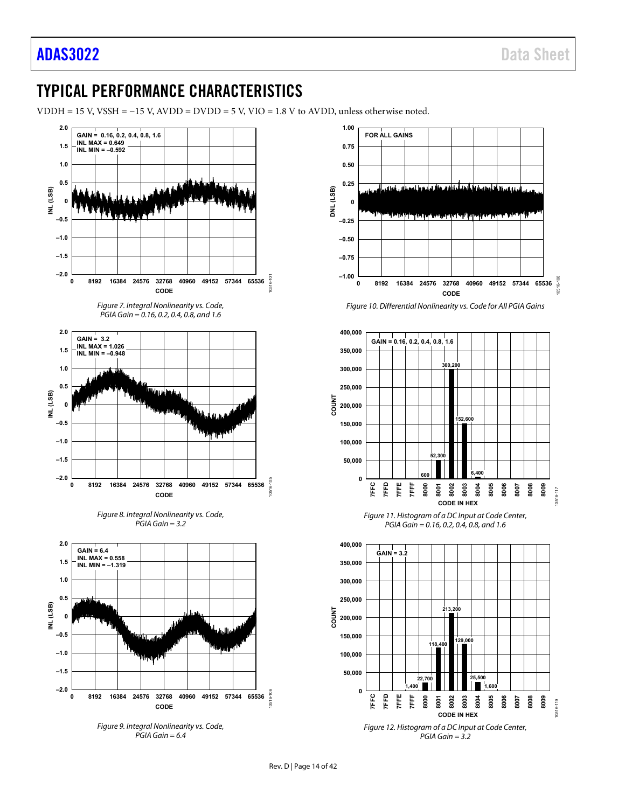## TYPICAL PERFORMANCE CHARACTERISTICS

VDDH = 15 V, VSSH = −15 V, AVDD = DVDD = 5 V, VIO = 1.8 V to AVDD, unless otherwise noted.



*Figure 9. Integral Nonlinearity vs. Code, PGIA Gain = 6.4*



*Figure 10. Differential Nonlinearity vs. Code for All PGIA Gains*



*Figure 11. Histogram of a DC Input at Code Center, PGIA Gain = 0.16, 0.2, 0.4, 0.8, and 1.6*



*Figure 12. Histogram of a DC Input at Code Center, PGIA Gain = 3.2*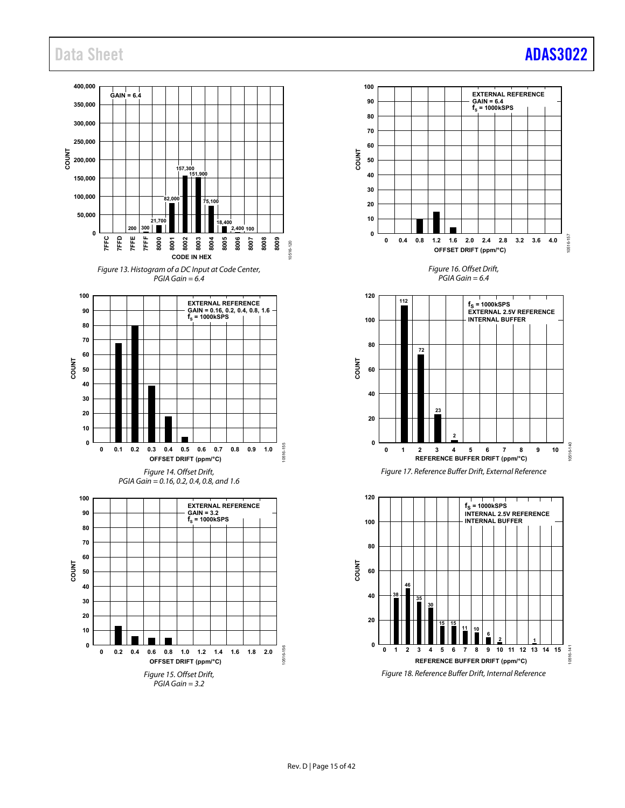### Data Sheet **[ADAS3022](http://www.analog.com/ADAS3022?doc=ADAS3022.pdf)**

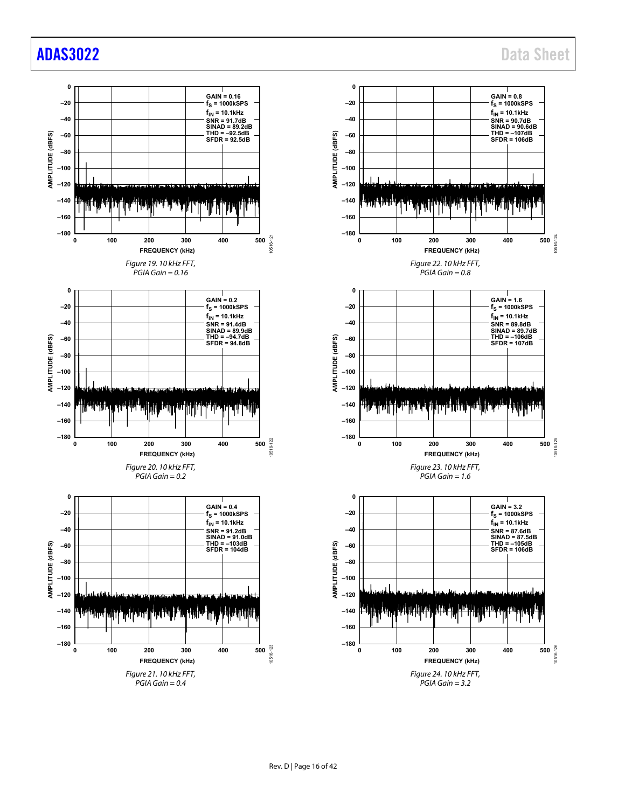### [ADAS3022](http://www.analog.com/ADAS3022?doc=ADAS3022.pdf) Data Sheet

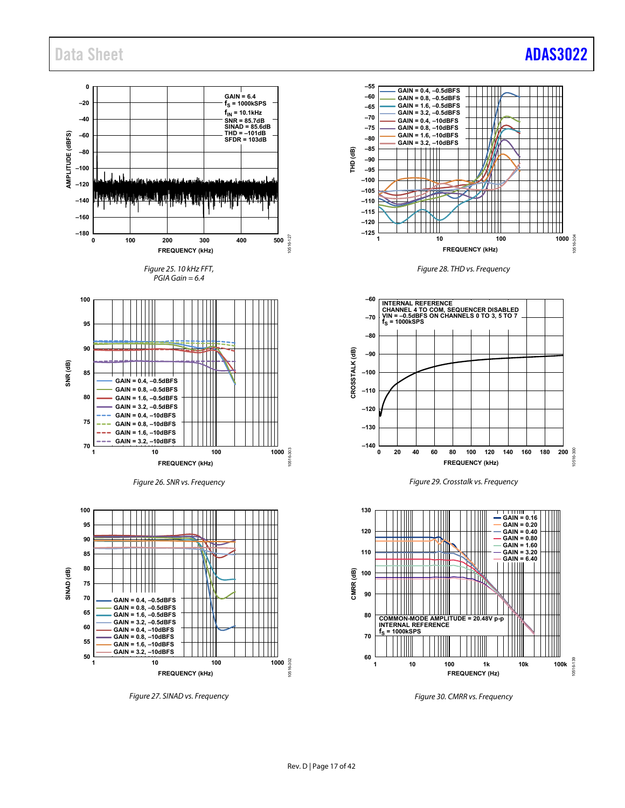### Data Sheet **[ADAS3022](http://www.analog.com/ADAS3022?doc=ADAS3022.pdf)**



*Figure 27. SINAD vs. Frequency*











*Figure 30. CMRR vs. Frequency*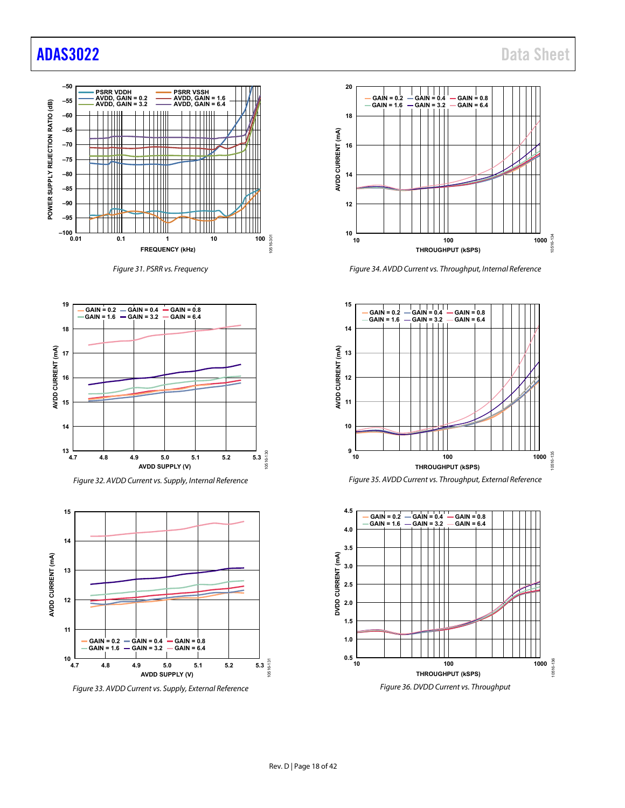## [ADAS3022](http://www.analog.com/ADAS3022?doc=ADAS3022.pdf) Data Sheet



*Figure 31. PSRR vs. Frequency*



*Figure 32. AVDD Current vs. Supply, Internal Reference*



*Figure 33. AVDD Current vs. Supply, External Reference*



*Figure 34. AVDD Current vs. Throughput, Internal Reference*



*Figure 35. AVDD Current vs. Throughput, External Reference*

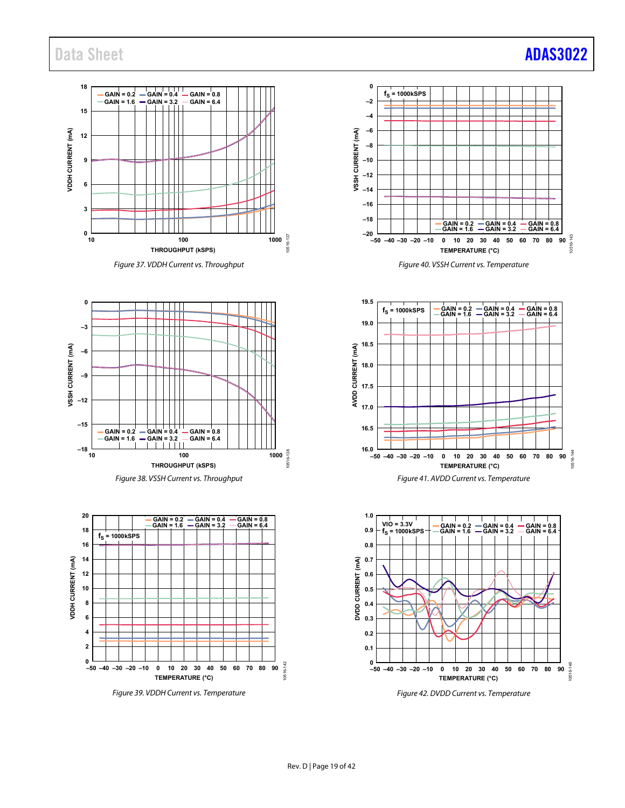







*Figure 39. VDDH Current vs. Temperature*









*Figure 42. DVDD Current vs. Temperature*

## Data Sheet **[ADAS3022](http://www.analog.com/ADAS3022?doc=ADAS3022.pdf)**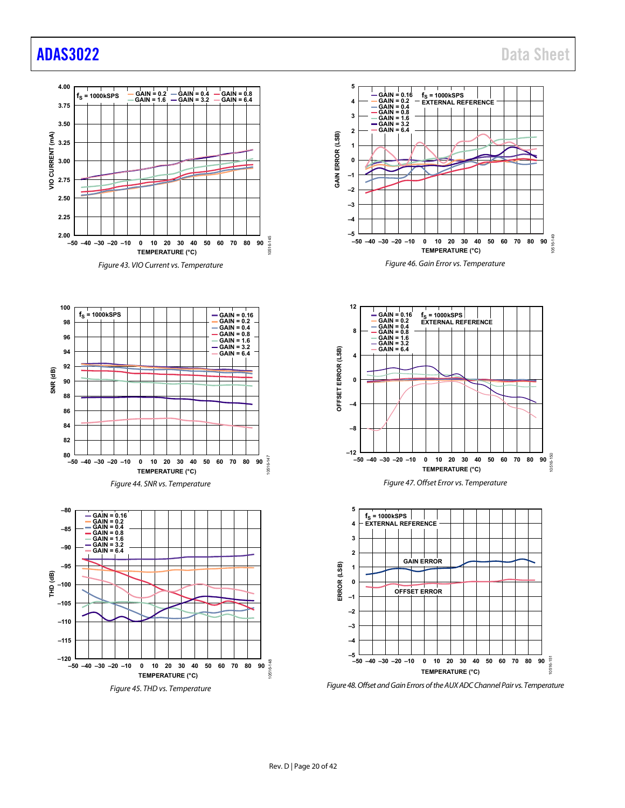## [ADAS3022](http://www.analog.com/ADAS3022?doc=ADAS3022.pdf) Data Sheet

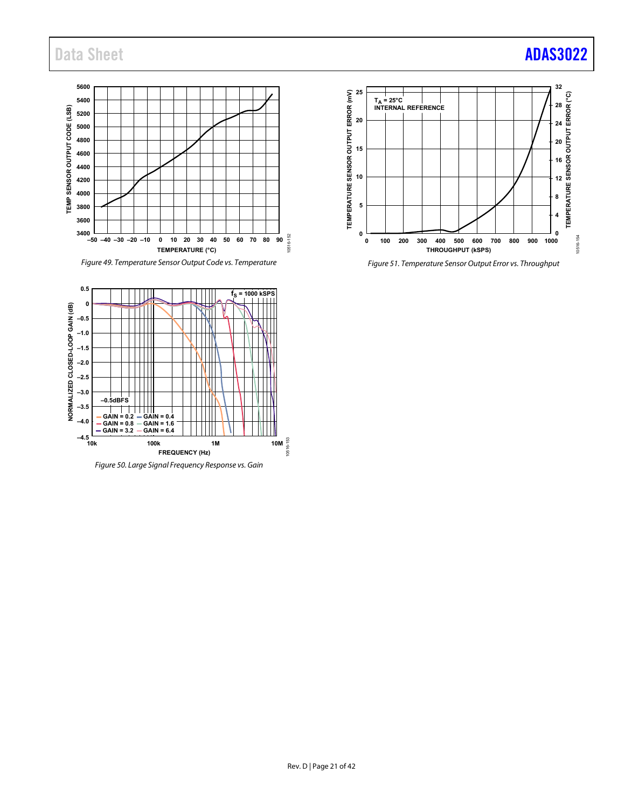

*Figure 49. Temperature Sensor Output Code vs. Temperature*



*Figure 50. Large Signal Frequency Response vs. Gain*



*Figure 51. Temperature Sensor Output Error vs. Throughput*

## Data Sheet **[ADAS3022](http://www.analog.com/ADAS3022?doc=ADAS3022.pdf)**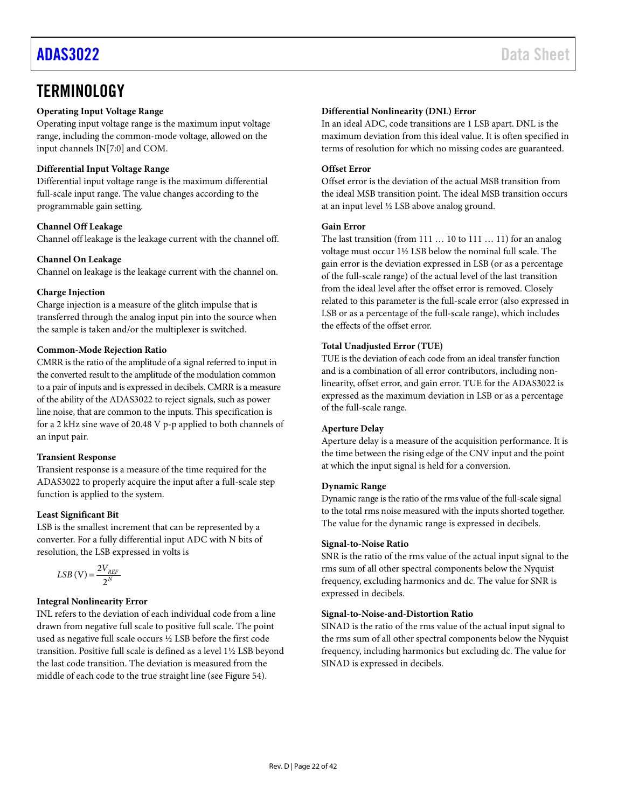### <span id="page-21-0"></span>**TERMINOLOGY**

#### **Operating Input Voltage Range**

Operating input voltage range is the maximum input voltage range, including the common-mode voltage, allowed on the input channels IN[7:0] and COM.

#### **Differential Input Voltage Range**

Differential input voltage range is the maximum differential full-scale input range. The value changes according to the programmable gain setting.

#### **Channel Off Leakage**

Channel off leakage is the leakage current with the channel off.

#### **Channel On Leakage**

Channel on leakage is the leakage current with the channel on.

#### **Charge Injection**

Charge injection is a measure of the glitch impulse that is transferred through the analog input pin into the source when the sample is taken and/or the multiplexer is switched.

#### **Common-Mode Rejection Ratio**

CMRR is the ratio of the amplitude of a signal referred to input in the converted result to the amplitude of the modulation common to a pair of inputs and is expressed in decibels. CMRR is a measure of the ability of the ADAS3022 to reject signals, such as power line noise, that are common to the inputs. This specification is for a 2 kHz sine wave of 20.48 V p-p applied to both channels of an input pair.

#### **Transient Response**

Transient response is a measure of the time required for the ADAS3022 to properly acquire the input after a full-scale step function is applied to the system.

#### **Least Significant Bit**

LSB is the smallest increment that can be represented by a converter. For a fully differential input ADC with N bits of resolution, the LSB expressed in volts is

$$
LSB(V) = \frac{2V_{REF}}{2^N}
$$

#### **Integral Nonlinearity Error**

INL refers to the deviation of each individual code from a line drawn from negative full scale to positive full scale. The point used as negative full scale occurs ½ LSB before the first code transition. Positive full scale is defined as a level 1½ LSB beyond the last code transition. The deviation is measured from the middle of each code to the true straight line (se[e Figure 54\)](#page-24-1).

#### **Differential Nonlinearity (DNL) Error**

In an ideal ADC, code transitions are 1 LSB apart. DNL is the maximum deviation from this ideal value. It is often specified in terms of resolution for which no missing codes are guaranteed.

#### **Offset Error**

Offset error is the deviation of the actual MSB transition from the ideal MSB transition point. The ideal MSB transition occurs at an input level ½ LSB above analog ground.

#### **Gain Error**

The last transition (from 111 … 10 to 111 … 11) for an analog voltage must occur 1½ LSB below the nominal full scale. The gain error is the deviation expressed in LSB (or as a percentage of the full-scale range) of the actual level of the last transition from the ideal level after the offset error is removed. Closely related to this parameter is the full-scale error (also expressed in LSB or as a percentage of the full-scale range), which includes the effects of the offset error.

#### **Total Unadjusted Error (TUE)**

TUE is the deviation of each code from an ideal transfer function and is a combination of all error contributors, including nonlinearity, offset error, and gain error. TUE for the ADAS3022 is expressed as the maximum deviation in LSB or as a percentage of the full-scale range.

#### **Aperture Delay**

Aperture delay is a measure of the acquisition performance. It is the time between the rising edge of the CNV input and the point at which the input signal is held for a conversion.

#### **Dynamic Range**

Dynamic range is the ratio of the rms value of the full-scale signal to the total rms noise measured with the inputs shorted together. The value for the dynamic range is expressed in decibels.

#### **Signal-to-Noise Ratio**

SNR is the ratio of the rms value of the actual input signal to the rms sum of all other spectral components below the Nyquist frequency, excluding harmonics and dc. The value for SNR is expressed in decibels.

#### **Signal-to-Noise-and-Distortion Ratio**

SINAD is the ratio of the rms value of the actual input signal to the rms sum of all other spectral components below the Nyquist frequency, including harmonics but excluding dc. The value for SINAD is expressed in decibels.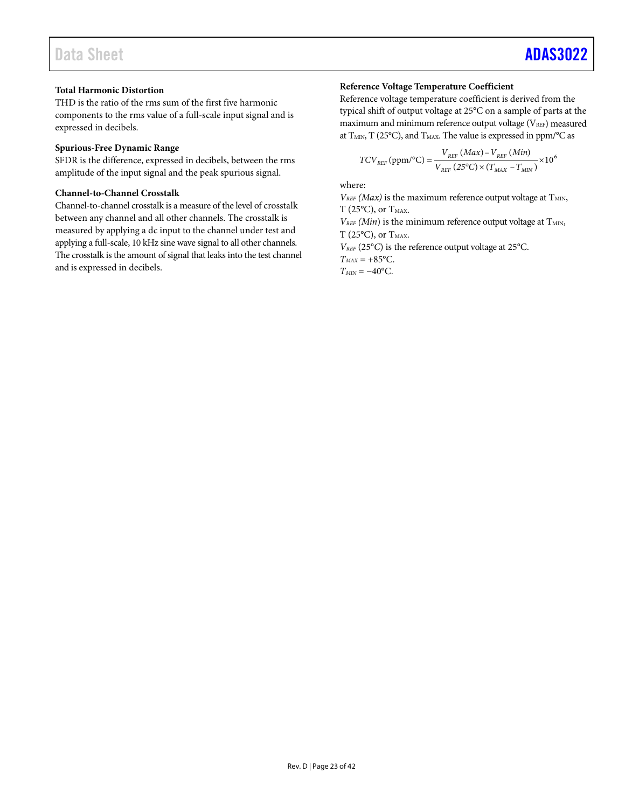#### **Total Harmonic Distortion**

THD is the ratio of the rms sum of the first five harmonic components to the rms value of a full-scale input signal and is expressed in decibels.

#### **Spurious-Free Dynamic Range**

SFDR is the difference, expressed in decibels, between the rms amplitude of the input signal and the peak spurious signal.

#### **Channel-to-Channel Crosstalk**

Channel-to-channel crosstalk is a measure of the level of crosstalk between any channel and all other channels. The crosstalk is measured by applying a dc input to the channel under test and applying a full-scale, 10 kHz sine wave signal to all other channels. The crosstalk is the amount of signal that leaks into the test channel and is expressed in decibels.

#### **Reference Voltage Temperature Coefficient**

Reference voltage temperature coefficient is derived from the typical shift of output voltage at 25°C on a sample of parts at the maximum and minimum reference output voltage  $(V_{REF})$  measured at  $T<sub>MIN</sub>, T (25°C),$  and  $T<sub>MAX</sub>.$  The value is expressed in ppm/°C as

$$
TCV_{REF} (ppm/°C) = \frac{V_{REF} (Max) - V_{REF} (Min)}{V_{REF} (25°C) \times (T_{MAX} - T_{MIN})} \times 106
$$

where:

 $V_{REF}$  *(Max)* is the maximum reference output voltage at  $T_{MIN}$ ,  $T(25^{\circ}C)$ , or  $T_{MAX}$ .

 $V_{REF}(Min)$  is the minimum reference output voltage at  $T_{MIN}$ ,  $T(25^{\circ}C)$ , or  $T_{MAX}$ .

*VREF* (25°*C*) is the reference output voltage at 25°C.

 $T_{MAX} = +85^{\circ}$ C.

 $T<sub>MIN</sub> = -40$ <sup>o</sup>C.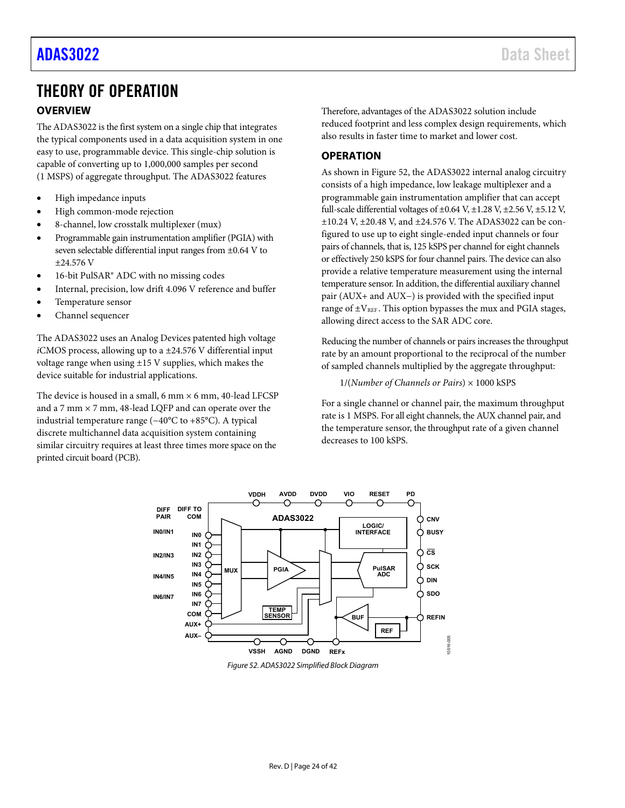### <span id="page-23-0"></span>THEORY OF OPERATION

#### <span id="page-23-1"></span>**OVERVIEW**

The ADAS3022 is the first system on a single chip that integrates the typical components used in a data acquisition system in one easy to use, programmable device. This single-chip solution is capable of converting up to 1,000,000 samples per second (1 MSPS) of aggregate throughput. The ADAS3022 features

- High impedance inputs
- High common-mode rejection
- 8-channel, low crosstalk multiplexer (mux)
- Programmable gain instrumentation amplifier (PGIA) with seven selectable differential input ranges from ±0.64 V to ±24.576 V
- 16-bit PulSAR® ADC with no missing codes
- Internal, precision, low drift 4.096 V reference and buffer
- Temperature sensor
- Channel sequencer

The ADAS3022 uses an Analog Devices patented high voltage *i*CMOS process, allowing up to a ±24.576 V differential input voltage range when using  $\pm 15$  V supplies, which makes the device suitable for industrial applications.

The device is housed in a small,  $6 \text{ mm} \times 6 \text{ mm}$ ,  $40$ -lead LFCSP and a 7 mm × 7 mm, 48-lead LQFP and can operate over the industrial temperature range (−40°C to +85°C). A typical discrete multichannel data acquisition system containing similar circuitry requires at least three times more space on the printed circuit board (PCB).

Therefore, advantages of the ADAS3022 solution include reduced footprint and less complex design requirements, which also results in faster time to market and lower cost.

### <span id="page-23-2"></span>**OPERATION**

As shown in [Figure 52,](#page-23-3) the ADAS3022 internal analog circuitry consists of a high impedance, low leakage multiplexer and a programmable gain instrumentation amplifier that can accept full-scale differential voltages of  $\pm 0.64$  V,  $\pm 1.28$  V,  $\pm 2.56$  V,  $\pm 5.12$  V, ±10.24 V, ±20.48 V, and ±24.576 V. The ADAS3022 can be configured to use up to eight single-ended input channels or four pairs of channels, that is, 125 kSPS per channel for eight channels or effectively 250 kSPS for four channel pairs. The device can also provide a relative temperature measurement using the internal temperature sensor. In addition, the differential auxiliary channel pair (AUX+ and AUX−) is provided with the specified input range of  $\pm$ V<sub>REF</sub>. This option bypasses the mux and PGIA stages, allowing direct access to the SAR ADC core.

Reducing the number of channels or pairs increases the throughput rate by an amount proportional to the reciprocal of the number of sampled channels multiplied by the aggregate throughput:

1/(*Number of Channels or Pairs*) × 1000 kSPS

For a single channel or channel pair, the maximum throughput rate is 1 MSPS. For all eight channels, the AUX channel pair, and the temperature sensor, the throughput rate of a given channel decreases to 100 kSPS.



<span id="page-23-3"></span>*Figure 52. ADAS3022 Simplified Block Diagram*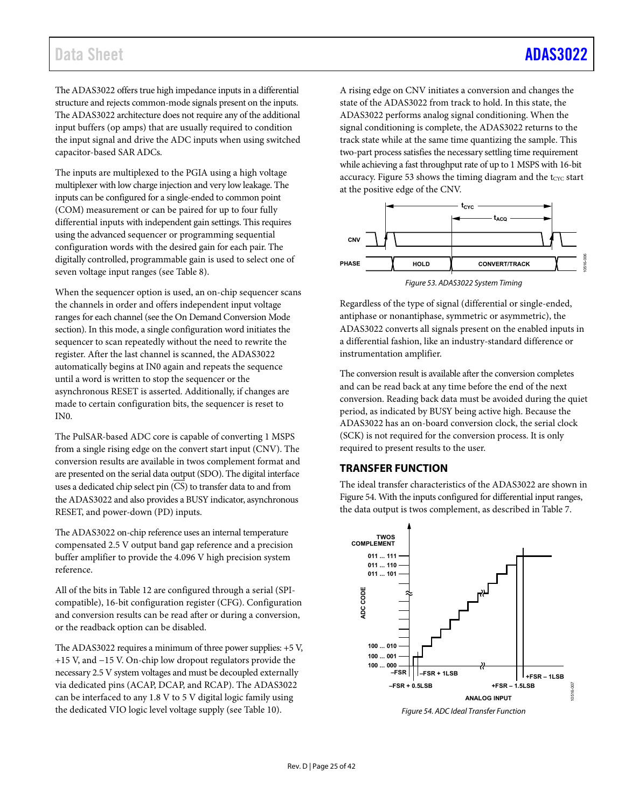The ADAS3022 offers true high impedance inputs in a differential structure and rejects common-mode signals present on the inputs. The ADAS3022 architecture does not require any of the additional input buffers (op amps) that are usually required to condition the input signal and drive the ADC inputs when using switched capacitor-based SAR ADCs.

The inputs are multiplexed to the PGIA using a high voltage multiplexer with low charge injection and very low leakage. The inputs can be configured for a single-ended to common point (COM) measurement or can be paired for up to four fully differential inputs with independent gain settings. This requires using the advanced sequencer or programming sequential configuration words with the desired gain for each pair. The digitally controlled, programmable gain is used to select one of seven voltage input ranges (se[e Table 8\)](#page-26-2).

When the sequencer option is used, an on-chip sequencer scans the channels in order and offers independent input voltage ranges for each channel (see th[e On Demand Conversion Mode](#page-38-0) section). In this mode, a single configuration word initiates the sequencer to scan repeatedly without the need to rewrite the register. After the last channel is scanned, the ADAS3022 automatically begins at IN0 again and repeats the sequence until a word is written to stop the sequencer or the asynchronous RESET is asserted. Additionally, if changes are made to certain configuration bits, the sequencer is reset to IN0.

The PulSAR-based ADC core is capable of converting 1 MSPS from a single rising edge on the convert start input (CNV). The conversion results are available in twos complement format and are presented on the serial data output (SDO). The digital interface uses a dedicated chip select pin (CS) to transfer data to and from the ADAS3022 and also provides a BUSY indicator, asynchronous RESET, and power-down (PD) inputs.

The ADAS3022 on-chip reference uses an internal temperature compensated 2.5 V output band gap reference and a precision buffer amplifier to provide the 4.096 V high precision system reference.

All of the bits in [Table 12](#page-37-1) are configured through a serial (SPIcompatible), 16-bit configuration register (CFG). Configuration and conversion results can be read after or during a conversion, or the readback option can be disabled.

The ADAS3022 requires a minimum of three power supplies: +5 V, +15 V, and −15 V. On-chip low dropout regulators provide the necessary 2.5 V system voltages and must be decoupled externally via dedicated pins (ACAP, DCAP, and RCAP). The ADAS3022 can be interfaced to any 1.8 V to 5 V digital logic family using the dedicated VIO logic level voltage supply (see [Table 10\)](#page-30-1).

A rising edge on CNV initiates a conversion and changes the state of the ADAS3022 from track to hold. In this state, the ADAS3022 performs analog signal conditioning. When the signal conditioning is complete, the ADAS3022 returns to the track state while at the same time quantizing the sample. This two-part process satisfies the necessary settling time requirement while achieving a fast throughput rate of up to 1 MSPS with 16-bit accuracy. [Figure 53](#page-24-2) shows the timing diagram and the tcyc start at the positive edge of the CNV.



<span id="page-24-2"></span>Regardless of the type of signal (differential or single-ended, antiphase or nonantiphase, symmetric or asymmetric), the ADAS3022 converts all signals present on the enabled inputs in a differential fashion, like an industry-standard difference or instrumentation amplifier.

The conversion result is available after the conversion completes and can be read back at any time before the end of the next conversion. Reading back data must be avoided during the quiet period, as indicated by BUSY being active high. Because the ADAS3022 has an on-board conversion clock, the serial clock (SCK) is not required for the conversion process. It is only required to present results to the user.

#### <span id="page-24-0"></span>**TRANSFER FUNCTION**

The ideal transfer characteristics of the ADAS3022 are shown in [Figure 54.](#page-24-1) With the inputs configured for differential input ranges, the data output is twos complement, as described i[n Table 7.](#page-25-1)



<span id="page-24-1"></span>*Figure 54. ADC Ideal Transfer Function*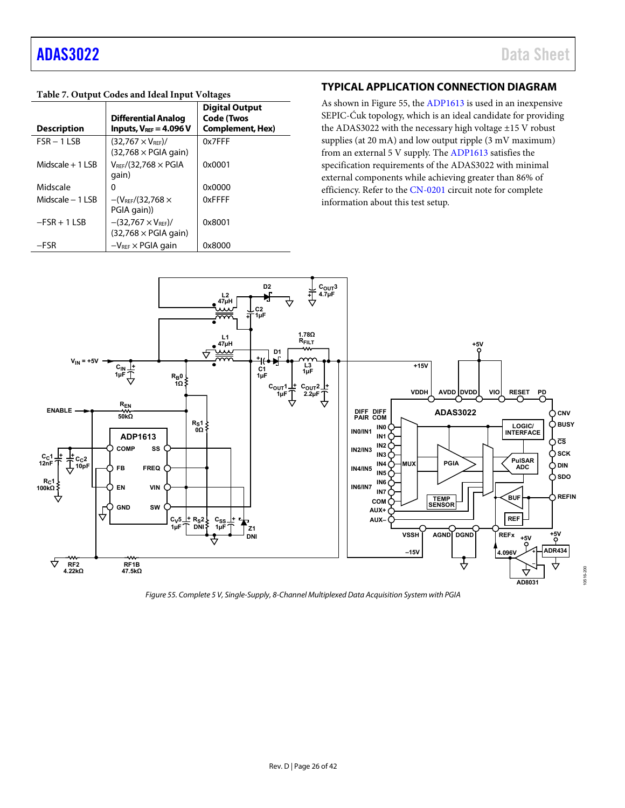10516-200

#### <span id="page-25-1"></span>**Table 7. Output Codes and Ideal Input Voltages**

| <b>Description</b> | <b>Differential Analog</b><br>Inputs, $V_{\text{REF}} = 4.096 V$  | <b>Digital Output</b><br><b>Code (Twos</b><br><b>Complement, Hex)</b> |
|--------------------|-------------------------------------------------------------------|-----------------------------------------------------------------------|
| $FSR - 11SB$       | $(32.767 \times V_{\text{REF}})$ /<br>$(32,768 \times PGL)$ qain) | 0x7FFF                                                                |
| Midscale $+1$ LSB  | $V_{\rm{REF}}$ /(32.768 $\times$ PGIA<br>qain)                    | 0x0001                                                                |
| Midscale           | o                                                                 | 0x0000                                                                |
| Midscale $-1$ LSB  | $-(V_{REF}/(32.768)$<br>PGIA gain))                               | 0xFFFF                                                                |
| $-FSR + 1 LSB$     | $-(32,767 \times V_{REF})/$<br>$(32,768 \times PGL)$ gain)        | 0x8001                                                                |
| $-FSR$             | $-V_{\text{REF}} \times$ PGIA gain                                | 0x8000                                                                |

#### <span id="page-25-0"></span>**TYPICAL APPLICATION CONNECTION DIAGRAM**

As shown in [Figure 55,](#page-25-2) the [ADP1613](http://www.analog.com/ADP1613?doc=ADAS3022.pdf) is used in an inexpensive SEPIC-Ćuk topology, which is an ideal candidate for providing the ADAS3022 with the necessary high voltage ±15 V robust supplies (at 20 mA) and low output ripple (3 mV maximum) from an external 5 V supply. Th[e ADP1613](http://www.analog.com/ADP1613?doc=ADAS3022.pdf) satisfies the specification requirements of the ADAS3022 with minimal external components while achieving greater than 86% of efficiency. Refer to th[e CN-0201](http://www.analog.com/CN0201?doc=ADAS3022.pdf) circuit note for complete information about this test setup.



<span id="page-25-2"></span>*Figure 55. Complete 5 V, Single-Supply, 8-Channel Multiplexed Data Acquisition System with PGIA*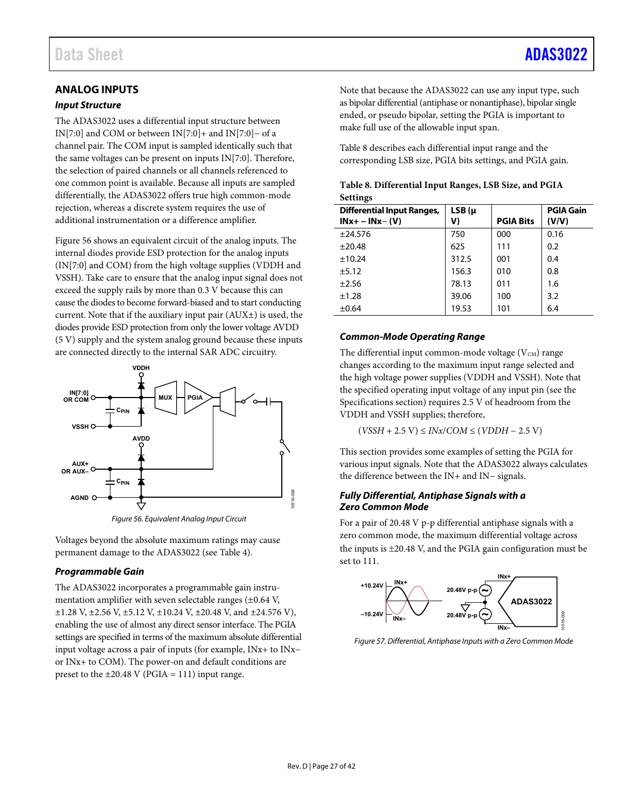#### <span id="page-26-4"></span><span id="page-26-0"></span>*Input Structure*

The ADAS3022 uses a differential input structure between IN[7:0] and COM or between IN[7:0]+ and IN[7:0]− of a channel pair. The COM input is sampled identically such that the same voltages can be present on inputs IN[7:0]. Therefore, the selection of paired channels or all channels referenced to one common point is available. Because all inputs are sampled differentially, the ADAS3022 offers true high common-mode rejection, whereas a discrete system requires the use of additional instrumentation or a difference amplifier.

[Figure 56](#page-26-3) shows an equivalent circuit of the analog inputs. The internal diodes provide ESD protection for the analog inputs (IN[7:0] and COM) from the high voltage supplies (VDDH and VSSH). Take care to ensure that the analog input signal does not exceed the supply rails by more than 0.3 V because this can cause the diodes to become forward-biased and to start conducting current. Note that if the auxiliary input pair (AUX±) is used, the diodes provide ESD protection from only the lower voltage AVDD (5 V) supply and the system analog ground because these inputs are connected directly to the internal SAR ADC circuitry.



*Figure 56. Equivalent Analog Input Circuit*

<span id="page-26-3"></span>Voltages beyond the absolute maximum ratings may cause permanent damage to the ADAS3022 (see [Table 4\)](#page-8-2).

#### <span id="page-26-1"></span>*Programmable Gain*

The ADAS3022 incorporates a programmable gain instrumentation amplifier with seven selectable ranges (±0.64 V, ±1.28 V, ±2.56 V, ±5.12 V, ±10.24 V, ±20.48 V, and ±24.576 V), enabling the use of almost any direct sensor interface. The PGIA settings are specified in terms of the maximum absolute differential input voltage across a pair of inputs (for example, INx+ to INx− or INx+ to COM). The power-on and default conditions are preset to the  $\pm 20.48$  V (PGIA = 111) input range.

Note that because the ADAS3022 can use any input type, such as bipolar differential (antiphase or nonantiphase), bipolar single ended, or pseudo bipolar, setting the PGIA is important to make full use of the allowable input span.

[Table 8](#page-26-2) describes each differential input range and the corresponding LSB size, PGIA bits settings, and PGIA gain.

<span id="page-26-2"></span>

|                 | Table 8. Differential Input Ranges, LSB Size, and PGIA |  |  |
|-----------------|--------------------------------------------------------|--|--|
| <b>Settings</b> |                                                        |  |  |

| <b>Differential Input Ranges,</b><br>$INx+ - INx- (V)$ | $LSB(\mu)$<br>V) | <b>PGIA Bits</b> | <b>PGIA Gain</b><br>(V/V) |
|--------------------------------------------------------|------------------|------------------|---------------------------|
| ±24.576                                                | 750              | 000              | 0.16                      |
| ±20.48                                                 | 625              | 111              | 0.2                       |
| ±10.24                                                 | 312.5            | 001              | 0.4                       |
| ±5.12                                                  | 156.3            | 010              | 0.8                       |
| ±2.56                                                  | 78.13            | 011              | 1.6                       |
| ±1.28                                                  | 39.06            | 100              | 3.2                       |
| $\pm 0.64$                                             | 19.53            | 101              | 6.4                       |

#### *Common-Mode Operating Range*

The differential input common-mode voltage  $(V_{CM})$  range changes according to the maximum input range selected and the high voltage power supplies (VDDH and VSSH). Note that the specified operating input voltage of any input pin (see the [Specifications](#page-2-0) section) requires 2.5 V of headroom from the VDDH and VSSH supplies; therefore,

(*VSSH* + 2.5 V) ≤ *INx*/*COM* ≤ (*VDDH* − 2.5 V)

This section provides some examples of setting the PGIA for various input signals. Note that the ADAS3022 always calculates the difference between the IN+ and IN− signals.

#### *Fully Differential, Antiphase Signals with a Zero Common Mode*

For a pair of 20.48 V p-p differential antiphase signals with a zero common mode, the maximum differential voltage across the inputs is ±20.48 V, and the PGIA gain configuration must be set to 111.



*Figure 57. Differential, Antiphase Inputs with a Zero Common Mode*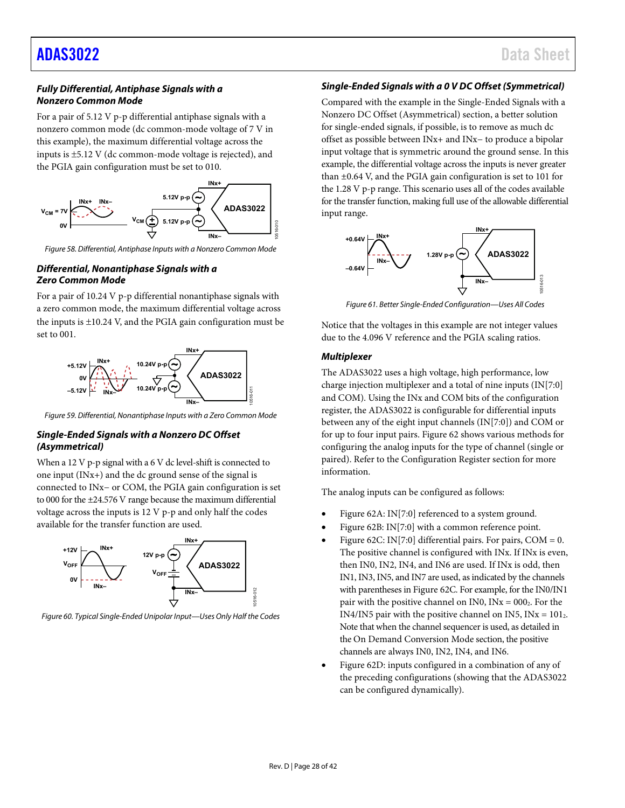#### *Fully Differential, Antiphase Signals with a Nonzero Common Mode*

For a pair of 5.12 V p-p differential antiphase signals with a nonzero common mode (dc common-mode voltage of 7 V in this example), the maximum differential voltage across the inputs is ±5.12 V (dc common-mode voltage is rejected), and the PGIA gain configuration must be set to 010.



*Figure 58. Differential, Antiphase Inputs with a Nonzero Common Mode*

#### *Differential, Nonantiphase Signals with a Zero Common Mode*

For a pair of 10.24 V p-p differential nonantiphase signals with a zero common mode, the maximum differential voltage across the inputs is  $\pm 10.24$  V, and the PGIA gain configuration must be set to 001.



*Figure 59. Differential, Nonantiphase Inputs with a Zero Common Mode*

#### <span id="page-27-2"></span>*Single-Ended Signals with a Nonzero DC Offset (Asymmetrical)*

When a 12 V p-p signal with a 6 V dc level-shift is connected to one input (INx+) and the dc ground sense of the signal is connected to INx− or COM, the PGIA gain configuration is set to 000 for the ±24.576 V range because the maximum differential voltage across the inputs is 12 V p-p and only half the codes available for the transfer function are used.



<span id="page-27-0"></span>*Figure 60. Typical Single-Ended Unipolar Input—Uses Only Half the Codes*

### *Single-Ended Signals with a 0 V DC Offset (Symmetrical)*

Compared with the example in th[e Single-Ended Signals with a](#page-27-2)  [Nonzero DC Offset \(Asymmetrical\)](#page-27-2) section, a better solution for single-ended signals, if possible, is to remove as much dc offset as possible between INx+ and INx− to produce a bipolar input voltage that is symmetric around the ground sense. In this example, the differential voltage across the inputs is never greater than ±0.64 V, and the PGIA gain configuration is set to 101 for the 1.28 V p-p range. This scenario uses all of the codes available for the transfer function, making full use of the allowable differential input range.



*Figure 61. Better Single-Ended Configuration—Uses All Codes*

<span id="page-27-1"></span>Notice that the voltages in this example are not integer values due to the 4.096 V reference and the PGIA scaling ratios.

#### <span id="page-27-3"></span>*Multiplexer*

The ADAS3022 uses a high voltage, high performance, low charge injection multiplexer and a total of nine inputs (IN[7:0] and COM). Using the INx and COM bits of the configuration register, the ADAS3022 is configurable for differential inputs between any of the eight input channels (IN[7:0]) and COM or for up to four input pairs[. Figure 62](#page-28-0) shows various methods for configuring the analog inputs for the type of channel (single or paired). Refer to the [Configuration Register](#page-37-0) section for more information.

The analog inputs can be configured as follows:

- [Figure 62A](#page-28-0): IN[7:0] referenced to a system ground.
- [Figure 62B](#page-28-0): IN[7:0] with a common reference point.
- [Figure 62C](#page-28-0): IN[7:0] differential pairs. For pairs,  $COM = 0$ . The positive channel is configured with INx. If INx is even, then IN0, IN2, IN4, and IN6 are used. If INx is odd, then IN1, IN3, IN5, and IN7 are used, as indicated by the channels with parentheses i[n Figure 62C](#page-28-0). For example, for the IN0/IN1 pair with the positive channel on IN0,  $INx = 000$ <sup>2</sup>. For the IN4/IN5 pair with the positive channel on IN5,  $INx = 101<sub>2</sub>$ . Note that when the channel sequencer is used, as detailed in th[e On Demand Conversion Mode](#page-38-0) section, the positive channels are always IN0, IN2, IN4, and IN6.
- [Figure 62D](#page-28-0): inputs configured in a combination of any of the preceding configurations (showing that the ADAS3022 can be configured dynamically).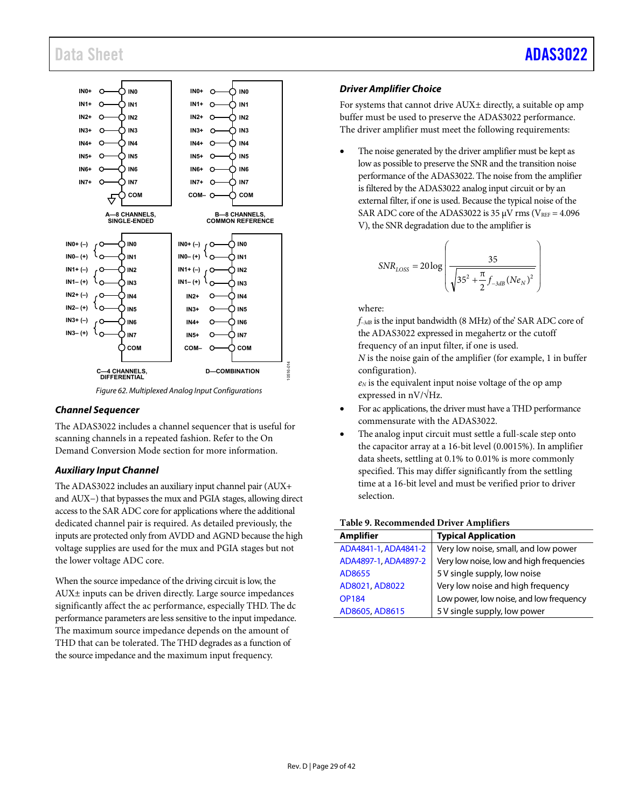

*Figure 62. Multiplexed Analog Input Configurations*

#### <span id="page-28-0"></span>*Channel Sequencer*

The ADAS3022 includes a channel sequencer that is useful for scanning channels in a repeated fashion. Refer to th[e On](#page-38-0)  [Demand Conversion Mode](#page-38-0) section for more information.

#### <span id="page-28-1"></span>*Auxiliary Input Channel*

The ADAS3022 includes an auxiliary input channel pair (AUX+ and AUX−) that bypasses the mux and PGIA stages, allowing direct access to the SAR ADC core for applications where the additional dedicated channel pair is required. As detailed previously, the inputs are protected only from AVDD and AGND because the high voltage supplies are used for the mux and PGIA stages but not the lower voltage ADC core.

When the source impedance of the driving circuit is low, the AUX± inputs can be driven directly. Large source impedances significantly affect the ac performance, especially THD. The dc performance parameters are less sensitive to the input impedance. The maximum source impedance depends on the amount of THD that can be tolerated. The THD degrades as a function of the source impedance and the maximum input frequency.

#### *Driver Amplifier Choice*

For systems that cannot drive AUX± directly, a suitable op amp buffer must be used to preserve the ADAS3022 performance. The driver amplifier must meet the following requirements:

The noise generated by the driver amplifier must be kept as low as possible to preserve the SNR and the transition noise performance of the ADAS3022. The noise from the amplifier is filtered by the ADAS3022 analog input circuit or by an external filter, if one is used. Because the typical noise of the SAR ADC core of the ADAS3022 is 35  $\mu$ V rms (V<sub>REF</sub> = 4.096 V), the SNR degradation due to the amplifier is

$$
SNR_{LOSS} = 20 \log \left( \frac{35}{\sqrt{35^2 + \frac{\pi}{2} f_{-3dB} (Ne_N)^2}} \right)
$$

where:

*f−3dB* is the input bandwidth (8 MHz) of the' SAR ADC core of the ADAS3022 expressed in megahertz or the cutoff frequency of an input filter, if one is used.

*N* is the noise gain of the amplifier (for example, 1 in buffer configuration).

*eN* is the equivalent input noise voltage of the op amp expressed in nV/√Hz.

- For ac applications, the driver must have a THD performance commensurate with the ADAS3022.
- The analog input circuit must settle a full-scale step onto the capacitor array at a 16-bit level (0.0015%). In amplifier data sheets, settling at 0.1% to 0.01% is more commonly specified. This may differ significantly from the settling time at a 16-bit level and must be verified prior to driver selection.

#### **Table 9. Recommended Driver Amplifiers**

| <b>Amplifier</b>     | <b>Typical Application</b>               |
|----------------------|------------------------------------------|
| ADA4841-1, ADA4841-2 | Very low noise, small, and low power     |
| ADA4897-1, ADA4897-2 | Very low noise, low and high frequencies |
| AD8655               | 5 V single supply, low noise             |
| AD8021, AD8022       | Very low noise and high frequency        |
| <b>OP184</b>         | Low power, low noise, and low frequency  |
| AD8605, AD8615       | 5 V single supply, low power             |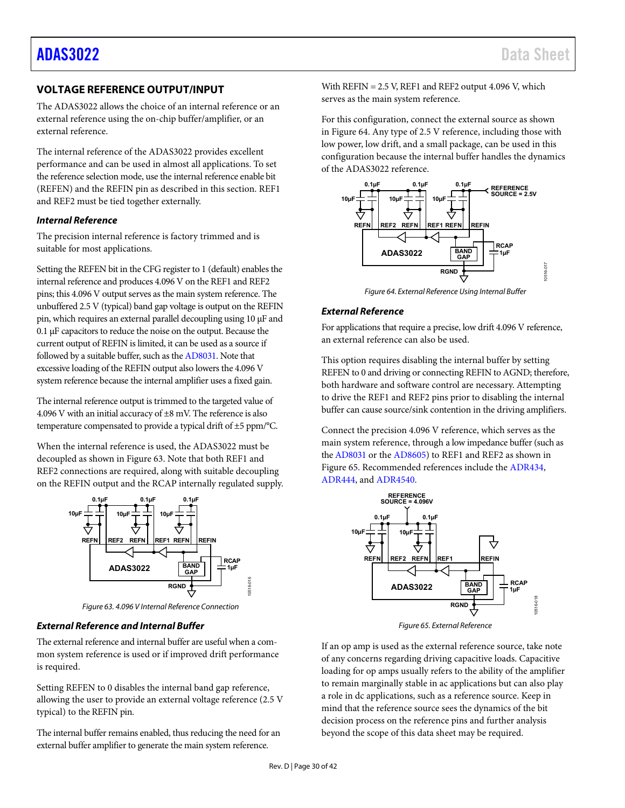### <span id="page-29-0"></span>**VOLTAGE REFERENCE OUTPUT/INPUT**

The ADAS3022 allows the choice of an internal reference or an external reference using the on-chip buffer/amplifier, or an external reference.

The internal reference of the ADAS3022 provides excellent performance and can be used in almost all applications. To set the reference selection mode, use the internal reference enable bit (REFEN) and the REFIN pin as described in this section. REF1 and REF2 must be tied together externally.

#### *Internal Reference*

The precision internal reference is factory trimmed and is suitable for most applications.

Setting the REFEN bit in the CFG register to 1 (default) enables the internal reference and produces 4.096 V on the REF1 and REF2 pins; this 4.096 V output serves as the main system reference. The unbuffered 2.5 V (typical) band gap voltage is output on the REFIN pin, which requires an external parallel decoupling using 10 µF and 0.1 µF capacitors to reduce the noise on the output. Because the current output of REFIN is limited, it can be used as a source if followed by a suitable buffer, such as th[e AD8031.](http://www.analog.com/AD8031?doc=ADAS3022.pdf) Note that excessive loading of the REFIN output also lowers the 4.096 V system reference because the internal amplifier uses a fixed gain.

The internal reference output is trimmed to the targeted value of 4.096 V with an initial accuracy of  $\pm 8$  mV. The reference is also temperature compensated to provide a typical drift of ±5 ppm/°C.

When the internal reference is used, the ADAS3022 must be decoupled as shown in [Figure 63.](#page-29-1) Note that both REF1 and REF2 connections are required, along with suitable decoupling on the REFIN output and the RCAP internally regulated supply.



*Figure 63. 4.096 V Internal Reference Connection*

#### <span id="page-29-1"></span>*External Reference and Internal Buffer*

The external reference and internal buffer are useful when a common system reference is used or if improved drift performance is required.

Setting REFEN to 0 disables the internal band gap reference, allowing the user to provide an external voltage reference (2.5 V typical) to the REFIN pin.

The internal buffer remains enabled, thus reducing the need for an external buffer amplifier to generate the main system reference.

With  $REFIN = 2.5$  V,  $REF1$  and  $REF2$  output 4.096 V, which serves as the main system reference.

For this configuration, connect the external source as shown in [Figure 64.](#page-29-2) Any type of 2.5 V reference, including those with low power, low drift, and a small package, can be used in this configuration because the internal buffer handles the dynamics of the ADAS3022 reference.



*Figure 64. External Reference Using Internal Buffer*

#### <span id="page-29-2"></span>*External Reference*

For applications that require a precise, low drift 4.096 V reference, an external reference can also be used.

This option requires disabling the internal buffer by setting REFEN to 0 and driving or connecting REFIN to AGND; therefore, both hardware and software control are necessary. Attempting to drive the REF1 and REF2 pins prior to disabling the internal buffer can cause source/sink contention in the driving amplifiers.

Connect the precision 4.096 V reference, which serves as the main system reference, through a low impedance buffer (such as th[e AD8031](http://www.analog.com/AD8031?doc=ADAS3022.pdf) or th[e AD8605\)](http://www.analog.com/AD8605?doc=ADAS3022.pdf) to REF1 and REF2 as shown in [Figure](#page-29-3) 65. Recommended references include th[e ADR434,](http://www.analog.com/ADR434?doc=ADAS3022.pdf)  [ADR444,](http://www.analog.com/ADR444?doc=ADAS3022.pdf) and [ADR4540.](http://www.analog.com/ADR4540?doc=ADAS3022.pdf)



*Figure 65. External Reference*

<span id="page-29-3"></span>If an op amp is used as the external reference source, take note of any concerns regarding driving capacitive loads. Capacitive loading for op amps usually refers to the ability of the amplifier to remain marginally stable in ac applications but can also play a role in dc applications, such as a reference source. Keep in mind that the reference source sees the dynamics of the bit decision process on the reference pins and further analysis beyond the scope of this data sheet may be required.

10516-016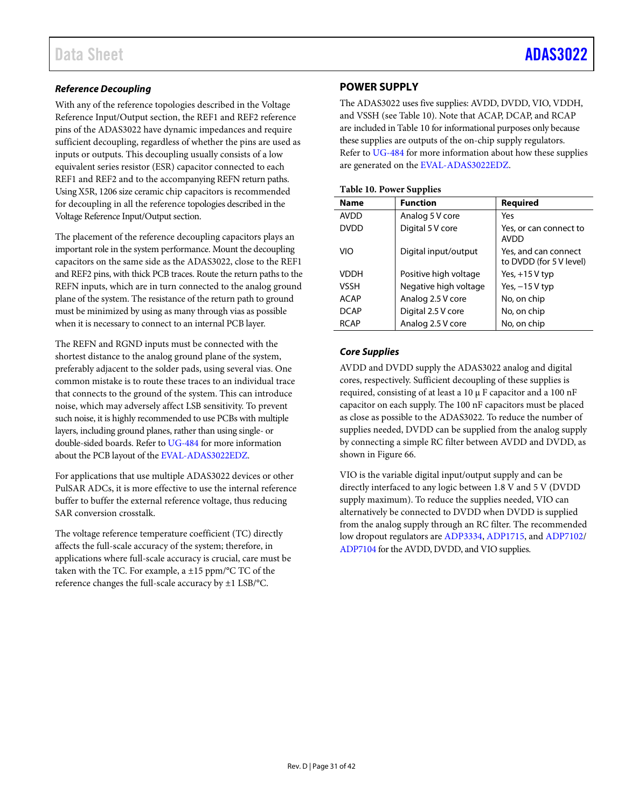#### *Reference Decoupling*

With any of the reference topologies described in the Voltage Reference Input/Output section, the REF1 and REF2 reference pins of the ADAS3022 have dynamic impedances and require sufficient decoupling, regardless of whether the pins are used as inputs or outputs. This decoupling usually consists of a low equivalent series resistor (ESR) capacitor connected to each REF1 and REF2 and to the accompanying REFN return paths. Using X5R, 1206 size ceramic chip capacitors is recommended for decoupling in all the reference topologies described in the Voltage Reference Input/Output section.

The placement of the reference decoupling capacitors plays an important role in the system performance. Mount the decoupling capacitors on the same side as the ADAS3022, close to the REF1 and REF2 pins, with thick PCB traces. Route the return paths to the REFN inputs, which are in turn connected to the analog ground plane of the system. The resistance of the return path to ground must be minimized by using as many through vias as possible when it is necessary to connect to an internal PCB layer.

The REFN and RGND inputs must be connected with the shortest distance to the analog ground plane of the system, preferably adjacent to the solder pads, using several vias. One common mistake is to route these traces to an individual trace that connects to the ground of the system. This can introduce noise, which may adversely affect LSB sensitivity. To prevent such noise, it is highly recommended to use PCBs with multiple layers, including ground planes, rather than using single- or double-sided boards. Refer t[o UG-484](http://www.analog.com/UG-484?doc=ADAS3022.pdf) for more information about the PCB layout of the [EVAL-ADAS3022EDZ.](http://www.analog.com/ADAS3022?doc=ADAS3022.pdf)

For applications that use multiple ADAS3022 devices or other PulSAR ADCs, it is more effective to use the internal reference buffer to buffer the external reference voltage, thus reducing SAR conversion crosstalk.

The voltage reference temperature coefficient (TC) directly affects the full-scale accuracy of the system; therefore, in applications where full-scale accuracy is crucial, care must be taken with the TC. For example, a  $\pm 15$  ppm/°C TC of the reference changes the full-scale accuracy by ±1 LSB/°C.

#### <span id="page-30-0"></span>**POWER SUPPLY**

The ADAS3022 uses five supplies: AVDD, DVDD, VIO, VDDH, and VSSH (see [Table 10\)](#page-30-1). Note that ACAP, DCAP, and RCAP are included i[n Table 10](#page-30-1) for informational purposes only because these supplies are outputs of the on-chip supply regulators. Refer t[o UG-484](http://www.analog.com/UG-484?doc=ADAS3022.pdf) for more information about how these supplies are generated on the [EVAL-ADAS3022EDZ.](http://www.analog.com/ADAS3022?doc=ADAS3022.pdf)

<span id="page-30-1"></span>

|  |  |  | <b>Table 10. Power Supplies</b> |
|--|--|--|---------------------------------|
|--|--|--|---------------------------------|

| <b>Name</b> | <b>Function</b>       | Required                                        |
|-------------|-----------------------|-------------------------------------------------|
| <b>AVDD</b> | Analog 5 V core       | Yes                                             |
| <b>DVDD</b> | Digital 5 V core      | Yes, or can connect to<br><b>AVDD</b>           |
| VIO         | Digital input/output  | Yes, and can connect<br>to DVDD (for 5 V level) |
| <b>VDDH</b> | Positive high voltage | Yes, $+15V$ typ                                 |
| VSSH        | Negative high voltage | Yes, $-15V$ typ                                 |
| <b>ACAP</b> | Analog 2.5 V core     | No, on chip                                     |
| <b>DCAP</b> | Digital 2.5 V core    | No, on chip                                     |
| <b>RCAP</b> | Analog 2.5 V core     | No, on chip                                     |

#### *Core Supplies*

AVDD and DVDD supply the ADAS3022 analog and digital cores, respectively. Sufficient decoupling of these supplies is required, consisting of at least a 10 µ F capacitor and a 100 nF capacitor on each supply. The 100 nF capacitors must be placed as close as possible to the ADAS3022. To reduce the number of supplies needed, DVDD can be supplied from the analog supply by connecting a simple RC filter between AVDD and DVDD, as shown in [Figure 66.](#page-31-2)

VIO is the variable digital input/output supply and can be directly interfaced to any logic between 1.8 V and 5 V (DVDD supply maximum). To reduce the supplies needed, VIO can alternatively be connected to DVDD when DVDD is supplied from the analog supply through an RC filter. The recommended low dropout regulators ar[e ADP3334,](http://www.analog.com/ADP3334?doc=ADAS3022.pdf) [ADP1715,](http://www.analog.com/ADP1715?doc=ADAS3022.pdf) an[d ADP7102/](http://www.analog.com/ADP7102?doc=ADAS3022.pdf) [ADP7104](http://www.analog.com/ADP7104?doc=ADAS3022.pdf) for the AVDD, DVDD, and VIO supplies.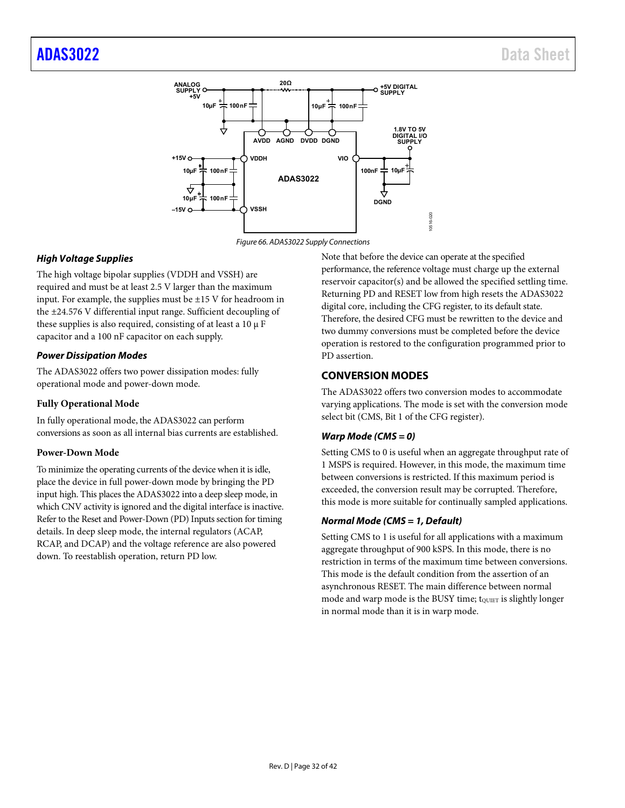

*Figure 66. ADAS3022 Supply Connections*

#### <span id="page-31-2"></span>*High Voltage Supplies*

The high voltage bipolar supplies (VDDH and VSSH) are required and must be at least 2.5 V larger than the maximum input. For example, the supplies must be  $\pm 15$  V for headroom in the ±24.576 V differential input range. Sufficient decoupling of these supplies is also required, consisting of at least a 10 µ F capacitor and a 100 nF capacitor on each supply.

#### *Power Dissipation Modes*

The ADAS3022 offers two power dissipation modes: fully operational mode and power-down mode.

#### **Fully Operational Mode**

In fully operational mode, the ADAS3022 can perform conversions as soon as all internal bias currents are established.

#### <span id="page-31-1"></span>**Power-Down Mode**

To minimize the operating currents of the device when it is idle, place the device in full power-down mode by bringing the PD input high. This places the ADAS3022 into a deep sleep mode, in which CNV activity is ignored and the digital interface is inactive. Refer to the [Reset and Power-Down \(PD\) Inputs](#page-32-2) section for timing details. In deep sleep mode, the internal regulators (ACAP, RCAP, and DCAP) and the voltage reference are also powered down. To reestablish operation, return PD low.

Note that before the device can operate at the specified performance, the reference voltage must charge up the external reservoir capacitor(s) and be allowed the specified settling time. Returning PD and RESET low from high resets the ADAS3022 digital core, including the CFG register, to its default state. Therefore, the desired CFG must be rewritten to the device and two dummy conversions must be completed before the device operation is restored to the configuration programmed prior to PD assertion.

### <span id="page-31-0"></span>**CONVERSION MODES**

The ADAS3022 offers two conversion modes to accommodate varying applications. The mode is set with the conversion mode select bit (CMS, Bit 1 of the CFG register).

#### *Warp Mode (CMS = 0)*

Setting CMS to 0 is useful when an aggregate throughput rate of 1 MSPS is required. However, in this mode, the maximum time between conversions is restricted. If this maximum period is exceeded, the conversion result may be corrupted. Therefore, this mode is more suitable for continually sampled applications.

#### *Normal Mode (CMS = 1, Default)*

Setting CMS to 1 is useful for all applications with a maximum aggregate throughput of 900 kSPS. In this mode, there is no restriction in terms of the maximum time between conversions. This mode is the default condition from the assertion of an asynchronous RESET. The main difference between normal mode and warp mode is the BUSY time; to uner is slightly longer in normal mode than it is in warp mode.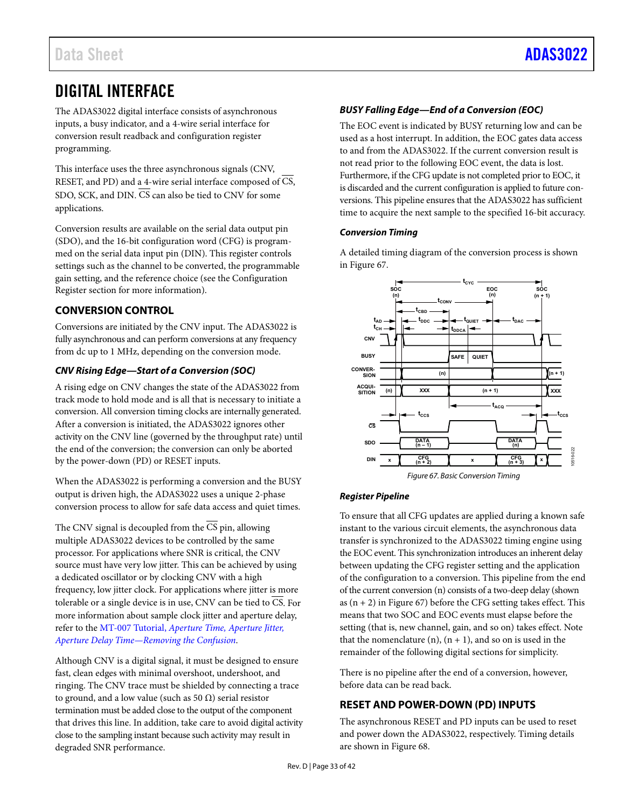## <span id="page-32-0"></span>DIGITAL INTERFACE

The ADAS3022 digital interface consists of asynchronous inputs, a busy indicator, and a 4-wire serial interface for conversion result readback and configuration register programming.

This interface uses the three asynchronous signals (CNV, RESET, and PD) and a 4-wire serial interface composed of CS, SDO, SCK, and DIN.  $\overline{CS}$  can also be tied to CNV for some applications.

Conversion results are available on the serial data output pin (SDO), and the 16-bit configuration word (CFG) is programmed on the serial data input pin (DIN). This register controls settings such as the channel to be converted, the programmable gain setting, and the reference choice (see th[e Configuration](#page-37-0)  [Register](#page-37-0) section for more information).

### <span id="page-32-1"></span>**CONVERSION CONTROL**

Conversions are initiated by the CNV input. The ADAS3022 is fully asynchronous and can perform conversions at any frequency from dc up to 1 MHz, depending on the conversion mode.

### *CNV Rising Edge—Start of a Conversion (SOC)*

A rising edge on CNV changes the state of the ADAS3022 from track mode to hold mode and is all that is necessary to initiate a conversion. All conversion timing clocks are internally generated. After a conversion is initiated, the ADAS3022 ignores other activity on the CNV line (governed by the throughput rate) until the end of the conversion; the conversion can only be aborted by the power-down (PD) or RESET inputs.

When the ADAS3022 is performing a conversion and the BUSY output is driven high, the ADAS3022 uses a unique 2-phase conversion process to allow for safe data access and quiet times.

The CNV signal is decoupled from the  $\overline{\text{CS}}$  pin, allowing multiple ADAS3022 devices to be controlled by the same processor. For applications where SNR is critical, the CNV source must have very low jitter. This can be achieved by using a dedicated oscillator or by clocking CNV with a high frequency, low jitter clock. For applications where jitter is more tolerable or a single device is in use, CNV can be tied to CS. For more information about sample clock jitter and aperture delay, refer to the MT-007 Tutorial, *[Aperture Time, Aperture Jitter,](http://www.analog.com/MT-007?doc=ADAS3022.pdf)  [Aperture Delay Time—Removing the Confusion](http://www.analog.com/MT-007?doc=ADAS3022.pdf)*.

Although CNV is a digital signal, it must be designed to ensure fast, clean edges with minimal overshoot, undershoot, and ringing. The CNV trace must be shielded by connecting a trace to ground, and a low value (such as 50  $\Omega$ ) serial resistor termination must be added close to the output of the component that drives this line. In addition, take care to avoid digital activity close to the sampling instant because such activity may result in degraded SNR performance.

### *BUSY Falling Edge—End of a Conversion (EOC)*

The EOC event is indicated by BUSY returning low and can be used as a host interrupt. In addition, the EOC gates data access to and from the ADAS3022. If the current conversion result is not read prior to the following EOC event, the data is lost. Furthermore, if the CFG update is not completed prior to EOC, it is discarded and the current configuration is applied to future conversions. This pipeline ensures that the ADAS3022 has sufficient time to acquire the next sample to the specified 16-bit accuracy.

#### *Conversion Timing*

A detailed timing diagram of the conversion process is shown in [Figure 67.](#page-32-3) 



*Figure 67. Basic Conversion Timing*

#### <span id="page-32-3"></span>*Register Pipeline*

To ensure that all CFG updates are applied during a known safe instant to the various circuit elements, the asynchronous data transfer is synchronized to the ADAS3022 timing engine using the EOC event. This synchronization introduces an inherent delay between updating the CFG register setting and the application of the configuration to a conversion. This pipeline from the end of the current conversion (n) consists of a two-deep delay (shown as  $(n + 2)$  i[n Figure 67\)](#page-32-3) before the CFG setting takes effect. This means that two SOC and EOC events must elapse before the setting (that is, new channel, gain, and so on) takes effect. Note that the nomenclature  $(n)$ ,  $(n + 1)$ , and so on is used in the remainder of the following digital sections for simplicity.

There is no pipeline after the end of a conversion, however, before data can be read back.

### <span id="page-32-2"></span>**RESET AND POWER-DOWN (PD) INPUTS**

The asynchronous RESET and PD inputs can be used to reset and power down the ADAS3022, respectively. Timing details are shown i[n Figure 68.](#page-33-1)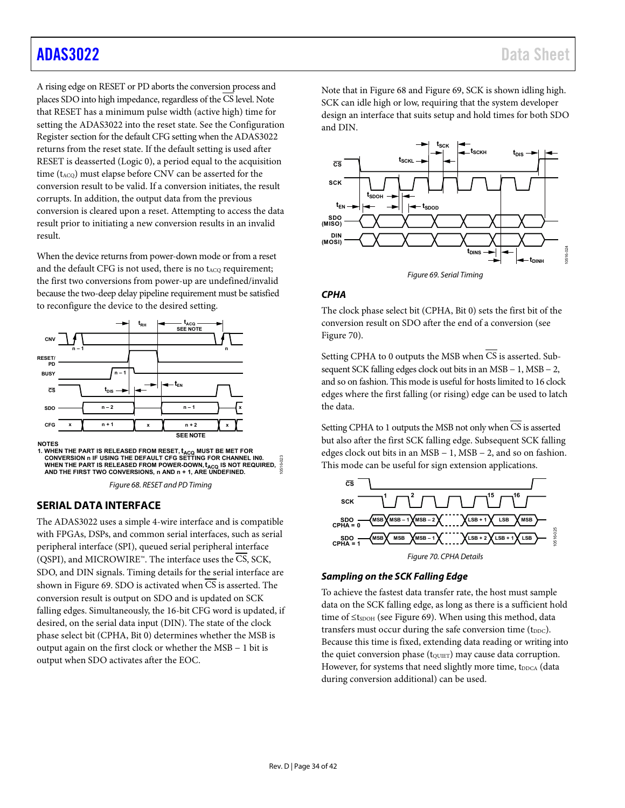A rising edge on RESET or PD aborts the conversion process and places SDO into high impedance, regardless of the CS level. Note that RESET has a minimum pulse width (active high) time for setting the ADAS3022 into the reset state. See th[e Configuration](#page-37-0)  [Register](#page-37-0) section for the default CFG setting when the ADAS3022 returns from the reset state. If the default setting is used after RESET is deasserted (Logic 0), a period equal to the acquisition time  $(t_{ACQ})$  must elapse before CNV can be asserted for the conversion result to be valid. If a conversion initiates, the result corrupts. In addition, the output data from the previous conversion is cleared upon a reset. Attempting to access the data result prior to initiating a new conversion results in an invalid result.

When the device returns from power-down mode or from a reset and the default CFG is not used, there is no t<sub>ACQ</sub> requirement; the first two conversions from power-up are undefined/invalid because the two-deep delay pipeline requirement must be satisfied to reconfigure the device to the desired setting.



<span id="page-33-1"></span>WHEN THE PART IS RELEASED FROM POWER-DOWN, t<sub>ACQ</sub> IS NOT REQUIRED,<br>AND THE FIRST TWO CONVERSIONS, n AND n + 1, ARE UNDEFINED.

*Figure 68. RESET and PD Timing*

#### <span id="page-33-0"></span>**SERIAL DATA INTERFACE**

The ADAS3022 uses a simple 4-wire interface and is compatible with FPGAs, DSPs, and common serial interfaces, such as serial peripheral interface (SPI), queued serial peripheral interface (QSPI), and MICROWIRE™. The interface uses the CS, SCK, SDO, and DIN signals. Timing details for the serial interface are shown in [Figure 69.](#page-33-2) SDO is activated when  $\overline{CS}$  is asserted. The conversion result is output on SDO and is updated on SCK falling edges. Simultaneously, the 16-bit CFG word is updated, if desired, on the serial data input (DIN). The state of the clock phase select bit (CPHA, Bit 0) determines whether the MSB is output again on the first clock or whether the MSB − 1 bit is output when SDO activates after the EOC.

Note that in [Figure 68](#page-33-1) an[d Figure 69,](#page-33-2) SCK is shown idling high. SCK can idle high or low, requiring that the system developer design an interface that suits setup and hold times for both SDO and DIN.



*Figure 69. Serial Timing*

#### <span id="page-33-4"></span><span id="page-33-2"></span>*CPHA*

The clock phase select bit (CPHA, Bit 0) sets the first bit of the conversion result on SDO after the end of a conversion (see [Figure 70\)](#page-33-3).

Setting CPHA to 0 outputs the MSB when  $\overline{CS}$  is asserted. Subsequent SCK falling edges clock out bits in an MSB − 1, MSB − 2, and so on fashion. This mode is useful for hosts limited to 16 clock edges where the first falling (or rising) edge can be used to latch the data.

Setting CPHA to 1 outputs the MSB not only when CS is asserted but also after the first SCK falling edge. Subsequent SCK falling edges clock out bits in an MSB − 1, MSB − 2, and so on fashion. This mode can be useful for sign extension applications.



#### <span id="page-33-3"></span>*Sampling on the SCK Falling Edge*

To achieve the fastest data transfer rate, the host must sample data on the SCK falling edge, as long as there is a sufficient hold time of  $\leq$ tspoH (see [Figure 69\)](#page-33-2). When using this method, data transfers must occur during the safe conversion time (t<sub>DDC</sub>). Because this time is fixed, extending data reading or writing into the quiet conversion phase  $(t_{\text{QUIET}})$  may cause data corruption. However, for systems that need slightly more time, tDDCA (data during conversion additional) can be used.

10516-023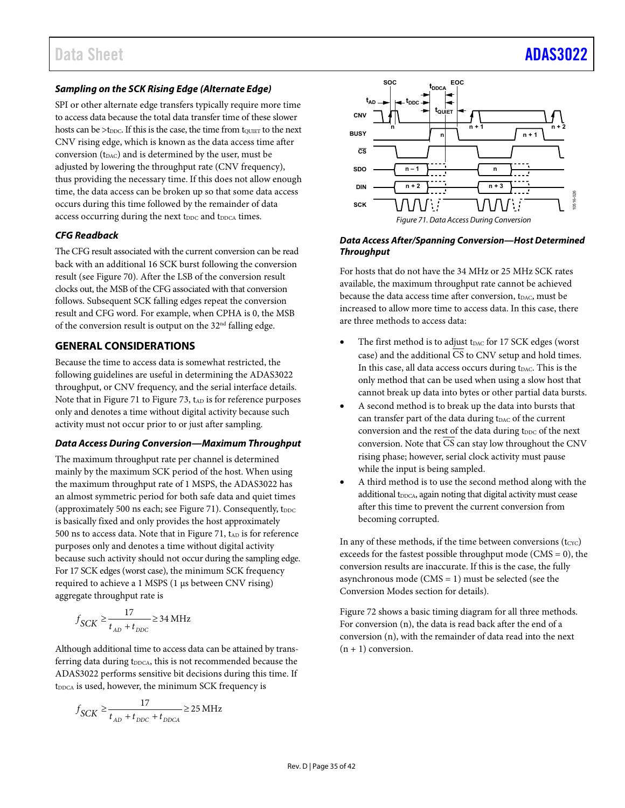#### *Sampling on the SCK Rising Edge (Alternate Edge)*

SPI or other alternate edge transfers typically require more time to access data because the total data transfer time of these slower hosts can be  $>t_{\text{DDC}}$ . If this is the case, the time from tower to the next CNV rising edge, which is known as the data access time after conversion  $(t_{DAC})$  and is determined by the user, must be adjusted by lowering the throughput rate (CNV frequency), thus providing the necessary time. If this does not allow enough time, the data access can be broken up so that some data access occurs during this time followed by the remainder of data access occurring during the next t<sub>DDC</sub> and t<sub>DDCA</sub> times.

#### *CFG Readback*

The CFG result associated with the current conversion can be read back with an additional 16 SCK burst following the conversion result (se[e Figure 70\)](#page-33-3). After the LSB of the conversion result clocks out, the MSB of the CFG associated with that conversion follows. Subsequent SCK falling edges repeat the conversion result and CFG word. For example, when CPHA is 0, the MSB of the conversion result is output on the 32nd falling edge.

#### <span id="page-34-0"></span>**GENERAL CONSIDERATIONS**

Because the time to access data is somewhat restricted, the following guidelines are useful in determining the ADAS3022 throughput, or CNV frequency, and the serial interface details. Note that in [Figure 71](#page-34-1) to [Figure 73,](#page-35-1)  $t_{AD}$  is for reference purposes only and denotes a time without digital activity because such activity must not occur prior to or just after sampling.

#### *Data Access During Conversion—Maximum Throughput*

The maximum throughput rate per channel is determined mainly by the maximum SCK period of the host. When using the maximum throughput rate of 1 MSPS, the ADAS3022 has an almost symmetric period for both safe data and quiet times (approximately 500 ns each; se[e Figure 71\)](#page-34-1). Consequently,  $t_{\text{DDC}}$ is basically fixed and only provides the host approximately 500 ns to access data. Note that i[n Figure 71,](#page-34-1)  $t_{AD}$  is for reference purposes only and denotes a time without digital activity because such activity should not occur during the sampling edge. For 17 SCK edges (worst case), the minimum SCK frequency required to achieve a 1 MSPS (1 µs between CNV rising) aggregate throughput rate is

$$
f_{SCK} \ge \frac{17}{t_{AD} + t_{DDC}} \ge 34 \text{ MHz}
$$

Although additional time to access data can be attained by transferring data during t<sub>DDCA</sub>, this is not recommended because the ADAS3022 performs sensitive bit decisions during this time. If  $t_{\text{DDCA}}$  is used, however, the minimum SCK frequency is

$$
f_{SCK} \ge \frac{17}{t_{AD} + t_{DDC} + t_{DDCA}} \ge 25 \text{ MHz}
$$



#### <span id="page-34-1"></span>*Data Access After/Spanning Conversion—Host Determined Throughput*

For hosts that do not have the 34 MHz or 25 MHz SCK rates available, the maximum throughput rate cannot be achieved because the data access time after conversion, t<sub>DAC</sub>, must be increased to allow more time to access data. In this case, there are three methods to access data:

- The first method is to adjust t<sub>DAC</sub> for 17 SCK edges (worst case) and the additional  $\overline{\text{CS}}$  to CNV setup and hold times. In this case, all data access occurs during t<sub>DAC</sub>. This is the only method that can be used when using a slow host that cannot break up data into bytes or other partial data bursts.
- A second method is to break up the data into bursts that can transfer part of the data during tDAC of the current conversion and the rest of the data during t<sub>DDC</sub> of the next conversion. Note that  $\overline{\text{CS}}$  can stay low throughout the CNV rising phase; however, serial clock activity must pause while the input is being sampled.
- A third method is to use the second method along with the additional t<sub>DDCA</sub>, again noting that digital activity must cease after this time to prevent the current conversion from becoming corrupted.

In any of these methods, if the time between conversions  $(t_{\text{Cyc}})$ exceeds for the fastest possible throughput mode ( $CMS = 0$ ), the conversion results are inaccurate. If this is the case, the fully asynchronous mode (CMS = 1) must be selected (see the [Conversion Modes](#page-31-0) section for details).

[Figure 72](#page-35-2) shows a basic timing diagram for all three methods. For conversion (n), the data is read back after the end of a conversion (n), with the remainder of data read into the next  $(n + 1)$  conversion.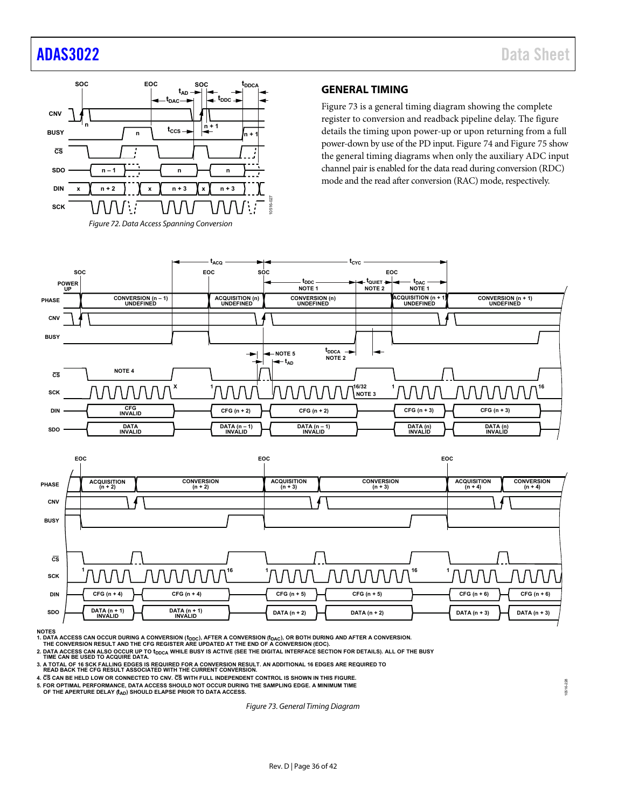## [ADAS3022](http://www.analog.com/ADAS3022?doc=ADAS3022.pdf) Data Sheet



#### <span id="page-35-0"></span>**GENERAL TIMING**

[Figure 73](#page-35-1) is a general timing diagram showing the complete register to conversion and readback pipeline delay. The figure details the timing upon power-up or upon returning from a full power-down by use of the PD input. [Figure 74](#page-36-0) an[d Figure 75](#page-36-1) show the general timing diagrams when only the auxiliary ADC input channel pair is enabled for the data read during conversion (RDC) mode and the read after conversion (RAC) mode, respectively.

<span id="page-35-2"></span>



**NOTES**

1. DATA ACCESS CAN OCCUR DURING A CONVERSION (t<sub>DDC</sub>), AFTER A CONVERSION (t<sub>DAC</sub>), OR BOTH DURING AND AFTER A CONVERSION.<br>THE CONVERSION RESULT AND THE CFG REGISTER ARE UPDATED AT THE END OF A CONVERSION (EOC).

2. DATA ACCESS CAN ALSO OCCUR UP TO t<sub>DDCA</sub> WHILE BUSY IS ACTIVE (SEE THE DIGITAL INTERFACE SECTION FOR DETAILS). ALL OF THE BUSY<br>TIME CAN BE USED TO ACQUIRE DATA.

- 
- **3. A TOTAL OF 16 SCK FALLING EDGES IS REQUIRED FOR A CONVERSION RESULT. AN ADDITIONAL 16 EDGES ARE REQUIRED TO READ BACK THE CFG RESULT ASSOCIATED WITH THE CURRENT CONVERSION.**

**4. CS CAN BE HELD LOW OR CONNECTED TO CNV. CS WITH FULL INDEPENDENT CONTROL IS SHOWN IN THIS FIGURE.**

**5. FOR OPTIMAL PERFORMANCE, DATA ACCESS SHOULD NOT OCCUR DURING THE SAMPLING EDGE. A MINIMUM TIME**

<span id="page-35-1"></span>OF THE APERTURE DELAY (t<sub>AD</sub>) SHOULD ELAPSE PRIOR TO DATA ACCESS.

*Figure 73. General Timing Diagram*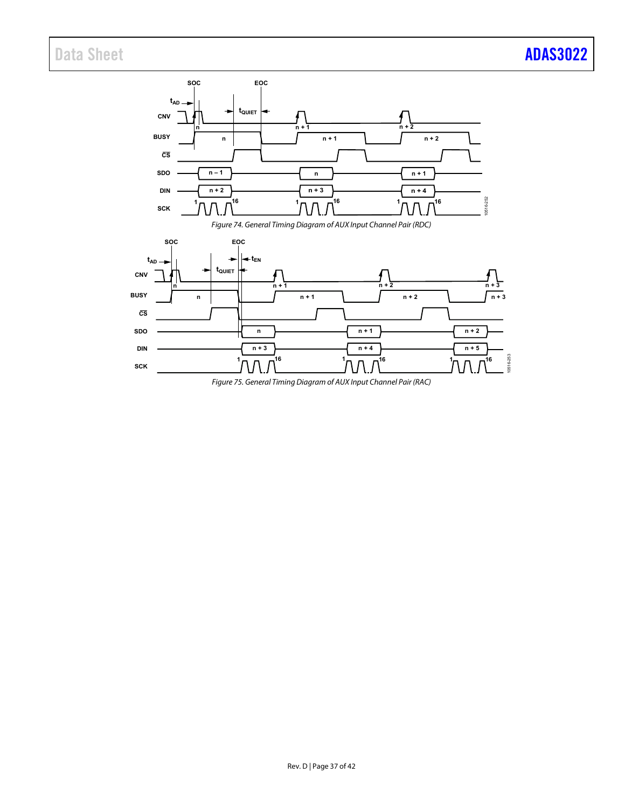<span id="page-36-0"></span>

<span id="page-36-1"></span>*Figure 75. General Timing Diagram of AUX Input Channel Pair (RAC)*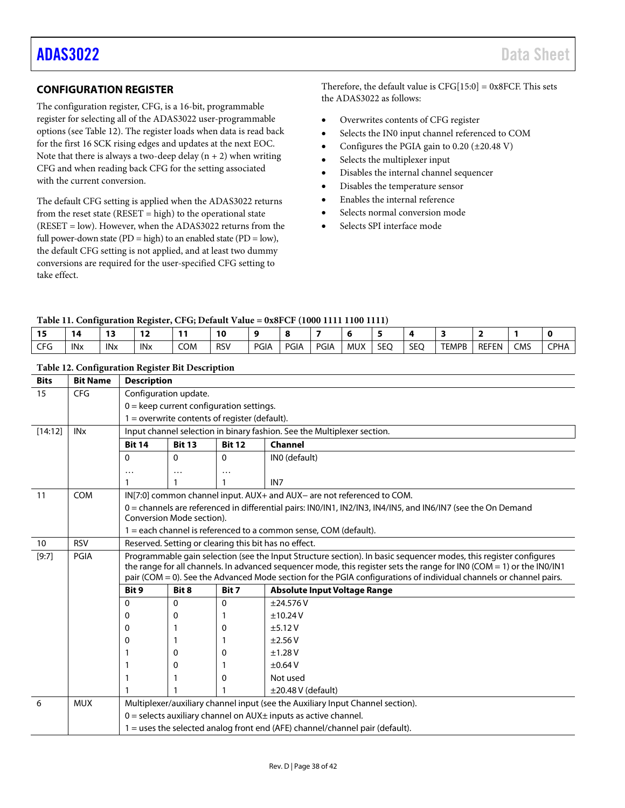### <span id="page-37-0"></span>**CONFIGURATION REGISTER**

The configuration register, CFG, is a 16-bit, programmable register for selecting all of the ADAS3022 user-programmable options (see [Table 12\)](#page-37-1). The register loads when data is read back for the first 16 SCK rising edges and updates at the next EOC. Note that there is always a two-deep delay  $(n + 2)$  when writing CFG and when reading back CFG for the setting associated with the current conversion.

The default CFG setting is applied when the ADAS3022 returns from the reset state ( $RESET = high$ ) to the operational state (RESET = low). However, when the ADAS3022 returns from the full power-down state (PD = high) to an enabled state (PD =  $low$ ), the default CFG setting is not applied, and at least two dummy conversions are required for the user-specified CFG setting to take effect.

Therefore, the default value is  $CFG[15:0] = 0x8FCF$ . This sets the ADAS3022 as follows:

- Overwrites contents of CFG register
- Selects the IN0 input channel referenced to COM
- Configures the PGIA gain to 0.20 (±20.48 V)
- Selects the multiplexer input
- Disables the internal channel sequencer
- Disables the temperature sensor
- Enables the internal reference
- Selects normal conversion mode
- Selects SPI interface mode

#### **Table 11. Configuration Register, CFG; Default Value = 0x8FCF (1000 1111 1100 1111)**

|             |                       | $\sim$ |                 | - - | <b>10</b>  |      |             |      |     |     |            |       |              |     |             |
|-------------|-----------------------|--------|-----------------|-----|------------|------|-------------|------|-----|-----|------------|-------|--------------|-----|-------------|
| $\sim$<br>. | <b>IN<sub>x</sub></b> | INx    | IN <sub>x</sub> | COM | <b>RSV</b> | PGIA | <b>PGIA</b> | PGIA | MUX | SEQ | <b>SEO</b> | TEMPB | <b>REFEN</b> | CMS | <b>CPHA</b> |

| <b>Bits</b> | <b>Bit Name</b>                                                                                                                  | <b>Description</b>                                                                                                                                     |                           |           |                                                                                                                                                                                                                                             |  |  |  |  |  |
|-------------|----------------------------------------------------------------------------------------------------------------------------------|--------------------------------------------------------------------------------------------------------------------------------------------------------|---------------------------|-----------|---------------------------------------------------------------------------------------------------------------------------------------------------------------------------------------------------------------------------------------------|--|--|--|--|--|
| 15          | <b>CFG</b>                                                                                                                       | Configuration update.                                                                                                                                  |                           |           |                                                                                                                                                                                                                                             |  |  |  |  |  |
|             |                                                                                                                                  | $0 =$ keep current configuration settings.                                                                                                             |                           |           |                                                                                                                                                                                                                                             |  |  |  |  |  |
|             |                                                                                                                                  | $1 =$ overwrite contents of register (default).                                                                                                        |                           |           |                                                                                                                                                                                                                                             |  |  |  |  |  |
| [14:12]     | <b>IN<sub>x</sub></b>                                                                                                            | Input channel selection in binary fashion. See the Multiplexer section.                                                                                |                           |           |                                                                                                                                                                                                                                             |  |  |  |  |  |
|             |                                                                                                                                  | Channel                                                                                                                                                |                           |           |                                                                                                                                                                                                                                             |  |  |  |  |  |
|             |                                                                                                                                  | $\Omega$                                                                                                                                               | INO (default)             |           |                                                                                                                                                                                                                                             |  |  |  |  |  |
|             |                                                                                                                                  | $\cdot$                                                                                                                                                | $\ddotsc$                 | $\ddotsc$ |                                                                                                                                                                                                                                             |  |  |  |  |  |
|             |                                                                                                                                  |                                                                                                                                                        |                           |           | IN <sub>7</sub>                                                                                                                                                                                                                             |  |  |  |  |  |
| 11          | <b>COM</b>                                                                                                                       |                                                                                                                                                        |                           |           | IN[7:0] common channel input. AUX+ and AUX- are not referenced to COM.                                                                                                                                                                      |  |  |  |  |  |
|             |                                                                                                                                  |                                                                                                                                                        |                           |           | 0 = channels are referenced in differential pairs: INO/IN1, IN2/IN3, IN4/IN5, and IN6/IN7 (see the On Demand                                                                                                                                |  |  |  |  |  |
|             |                                                                                                                                  |                                                                                                                                                        | Conversion Mode section). |           |                                                                                                                                                                                                                                             |  |  |  |  |  |
|             |                                                                                                                                  | 1 = each channel is referenced to a common sense, COM (default).                                                                                       |                           |           |                                                                                                                                                                                                                                             |  |  |  |  |  |
| 10          | <b>RSV</b>                                                                                                                       | Reserved. Setting or clearing this bit has no effect.                                                                                                  |                           |           |                                                                                                                                                                                                                                             |  |  |  |  |  |
| [9:7]       | Programmable gain selection (see the Input Structure section). In basic sequencer modes, this register configures<br><b>PGIA</b> |                                                                                                                                                        |                           |           |                                                                                                                                                                                                                                             |  |  |  |  |  |
|             |                                                                                                                                  |                                                                                                                                                        |                           |           | the range for all channels. In advanced sequencer mode, this register sets the range for INO (COM = 1) or the INO/IN1<br>pair (COM = 0). See the Advanced Mode section for the PGIA configurations of individual channels or channel pairs. |  |  |  |  |  |
|             |                                                                                                                                  | Bit 9                                                                                                                                                  | Bit 8                     | Bit 7     | <b>Absolute Input Voltage Range</b>                                                                                                                                                                                                         |  |  |  |  |  |
|             |                                                                                                                                  | $\Omega$                                                                                                                                               | $\Omega$                  | 0         | ±24.576V                                                                                                                                                                                                                                    |  |  |  |  |  |
|             |                                                                                                                                  | 0                                                                                                                                                      | 0                         |           | ±10.24V                                                                                                                                                                                                                                     |  |  |  |  |  |
|             |                                                                                                                                  | 0                                                                                                                                                      |                           | 0         | ±5.12V                                                                                                                                                                                                                                      |  |  |  |  |  |
|             |                                                                                                                                  | 0                                                                                                                                                      |                           |           | $\pm$ 2.56 V                                                                                                                                                                                                                                |  |  |  |  |  |
|             |                                                                                                                                  |                                                                                                                                                        | 0                         | 0         | ±1.28V                                                                                                                                                                                                                                      |  |  |  |  |  |
|             |                                                                                                                                  |                                                                                                                                                        | 0                         |           | $\pm 0.64$ V                                                                                                                                                                                                                                |  |  |  |  |  |
|             |                                                                                                                                  |                                                                                                                                                        |                           | 0         | Not used                                                                                                                                                                                                                                    |  |  |  |  |  |
|             |                                                                                                                                  |                                                                                                                                                        |                           |           | $\pm$ 20.48 V (default)                                                                                                                                                                                                                     |  |  |  |  |  |
| 6           | <b>MUX</b>                                                                                                                       |                                                                                                                                                        |                           |           | Multiplexer/auxiliary channel input (see the Auxiliary Input Channel section).                                                                                                                                                              |  |  |  |  |  |
|             |                                                                                                                                  |                                                                                                                                                        |                           |           |                                                                                                                                                                                                                                             |  |  |  |  |  |
|             |                                                                                                                                  | $0$ = selects auxiliary channel on AUX $\pm$ inputs as active channel.<br>1 = uses the selected analog front end (AFE) channel/channel pair (default). |                           |           |                                                                                                                                                                                                                                             |  |  |  |  |  |
|             |                                                                                                                                  |                                                                                                                                                        |                           |           |                                                                                                                                                                                                                                             |  |  |  |  |  |

#### <span id="page-37-1"></span>**Table 12. Configuration Register Bit Description**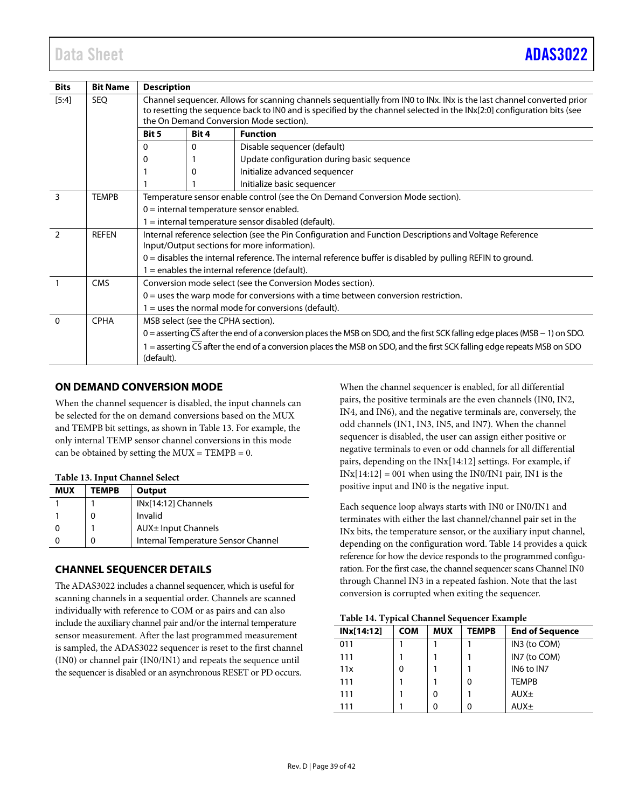| <b>Bits</b>    | <b>Bit Name</b> | <b>Description</b>                                                                                                                                                                                                                                                                         |                                    |                                                                                                                                            |  |  |  |  |  |  |
|----------------|-----------------|--------------------------------------------------------------------------------------------------------------------------------------------------------------------------------------------------------------------------------------------------------------------------------------------|------------------------------------|--------------------------------------------------------------------------------------------------------------------------------------------|--|--|--|--|--|--|
| $[5:4]$        | <b>SEQ</b>      | Channel sequencer. Allows for scanning channels sequentially from INO to INx. INx is the last channel converted prior<br>to resetting the sequence back to IN0 and is specified by the channel selected in the INx[2:0] configuration bits (see<br>the On Demand Conversion Mode section). |                                    |                                                                                                                                            |  |  |  |  |  |  |
|                |                 | <b>Function</b><br>Bit 5<br><b>Bit 4</b>                                                                                                                                                                                                                                                   |                                    |                                                                                                                                            |  |  |  |  |  |  |
|                |                 | 0                                                                                                                                                                                                                                                                                          | Disable sequencer (default)<br>0   |                                                                                                                                            |  |  |  |  |  |  |
|                |                 | 0                                                                                                                                                                                                                                                                                          |                                    | Update configuration during basic sequence                                                                                                 |  |  |  |  |  |  |
|                |                 |                                                                                                                                                                                                                                                                                            | 0                                  | Initialize advanced sequencer                                                                                                              |  |  |  |  |  |  |
|                |                 |                                                                                                                                                                                                                                                                                            |                                    | Initialize basic sequencer                                                                                                                 |  |  |  |  |  |  |
| 3              | TEMPB           |                                                                                                                                                                                                                                                                                            |                                    | Temperature sensor enable control (see the On Demand Conversion Mode section).                                                             |  |  |  |  |  |  |
|                |                 | $0 =$ internal temperature sensor enabled.                                                                                                                                                                                                                                                 |                                    |                                                                                                                                            |  |  |  |  |  |  |
|                |                 | $1 =$ internal temperature sensor disabled (default).                                                                                                                                                                                                                                      |                                    |                                                                                                                                            |  |  |  |  |  |  |
| $\overline{2}$ | <b>REFEN</b>    | Internal reference selection (see the Pin Configuration and Function Descriptions and Voltage Reference<br>Input/Output sections for more information).                                                                                                                                    |                                    |                                                                                                                                            |  |  |  |  |  |  |
|                |                 | $0 =$ disables the internal reference. The internal reference buffer is disabled by pulling REFIN to ground.                                                                                                                                                                               |                                    |                                                                                                                                            |  |  |  |  |  |  |
|                |                 | $1$ = enables the internal reference (default).                                                                                                                                                                                                                                            |                                    |                                                                                                                                            |  |  |  |  |  |  |
| $\overline{1}$ | <b>CMS</b>      | Conversion mode select (see the Conversion Modes section).                                                                                                                                                                                                                                 |                                    |                                                                                                                                            |  |  |  |  |  |  |
|                |                 | $0 =$ uses the warp mode for conversions with a time between conversion restriction.                                                                                                                                                                                                       |                                    |                                                                                                                                            |  |  |  |  |  |  |
|                |                 | $1 =$ uses the normal mode for conversions (default).                                                                                                                                                                                                                                      |                                    |                                                                                                                                            |  |  |  |  |  |  |
| $\Omega$       | <b>CPHA</b>     |                                                                                                                                                                                                                                                                                            | MSB select (see the CPHA section). |                                                                                                                                            |  |  |  |  |  |  |
|                |                 |                                                                                                                                                                                                                                                                                            |                                    | 0 = asserting $\overline{CS}$ after the end of a conversion places the MSB on SDO, and the first SCK falling edge places (MSB – 1) on SDO. |  |  |  |  |  |  |
|                |                 | 1 = asserting CS after the end of a conversion places the MSB on SDO, and the first SCK falling edge repeats MSB on SDO<br>(default).                                                                                                                                                      |                                    |                                                                                                                                            |  |  |  |  |  |  |

#### <span id="page-38-0"></span>**ON DEMAND CONVERSION MODE**

When the channel sequencer is disabled, the input channels can be selected for the on demand conversions based on the MUX and TEMPB bit settings, as shown i[n Table 13.](#page-38-2) For example, the only internal TEMP sensor channel conversions in this mode can be obtained by setting the  $MUX = TEMPB = 0$ .

#### <span id="page-38-2"></span>**Table 13. Input Channel Select**

| <b>MUX</b> | TEMPB | Output                              |
|------------|-------|-------------------------------------|
|            |       | INx[14:12] Channels                 |
|            |       | Invalid                             |
|            |       | AUX± Input Channels                 |
|            | 0     | Internal Temperature Sensor Channel |

#### <span id="page-38-1"></span>**CHANNEL SEQUENCER DETAILS**

The ADAS3022 includes a channel sequencer, which is useful for scanning channels in a sequential order. Channels are scanned individually with reference to COM or as pairs and can also include the auxiliary channel pair and/or the internal temperature sensor measurement. After the last programmed measurement is sampled, the ADAS3022 sequencer is reset to the first channel (IN0) or channel pair (IN0/IN1) and repeats the sequence until the sequencer is disabled or an asynchronous RESET or PD occurs.

When the channel sequencer is enabled, for all differential pairs, the positive terminals are the even channels (IN0, IN2, IN4, and IN6), and the negative terminals are, conversely, the odd channels (IN1, IN3, IN5, and IN7). When the channel sequencer is disabled, the user can assign either positive or negative terminals to even or odd channels for all differential pairs, depending on the INx[14:12] settings. For example, if  $INx[14:12] = 001$  when using the IN0/IN1 pair, IN1 is the positive input and IN0 is the negative input.

Each sequence loop always starts with IN0 or IN0/IN1 and terminates with either the last channel/channel pair set in the INx bits, the temperature sensor, or the auxiliary input channel, depending on the configuration word[. Table 14](#page-38-3) provides a quick reference for how the device responds to the programmed configuration. For the first case, the channel sequencer scans Channel IN0 through Channel IN3 in a repeated fashion. Note that the last conversion is corrupted when exiting the sequencer.

<span id="page-38-3"></span>**Table 14. Typical Channel Sequencer Example**

| INx[14:12] | <b>COM</b> | <b>MUX</b> | <b>TEMPB</b> | <b>End of Sequence</b> |
|------------|------------|------------|--------------|------------------------|
| 011        |            |            |              | IN3 (to COM)           |
| 111        |            |            |              | IN7 (to COM)           |
| 11x        |            |            |              | IN6 to IN7             |
| 111        |            |            | 0            | <b>TEMPB</b>           |
| 111        |            | 0          |              | AUX <sub>±</sub>       |
| 111        |            |            | 0            | AUX <sub>±</sub>       |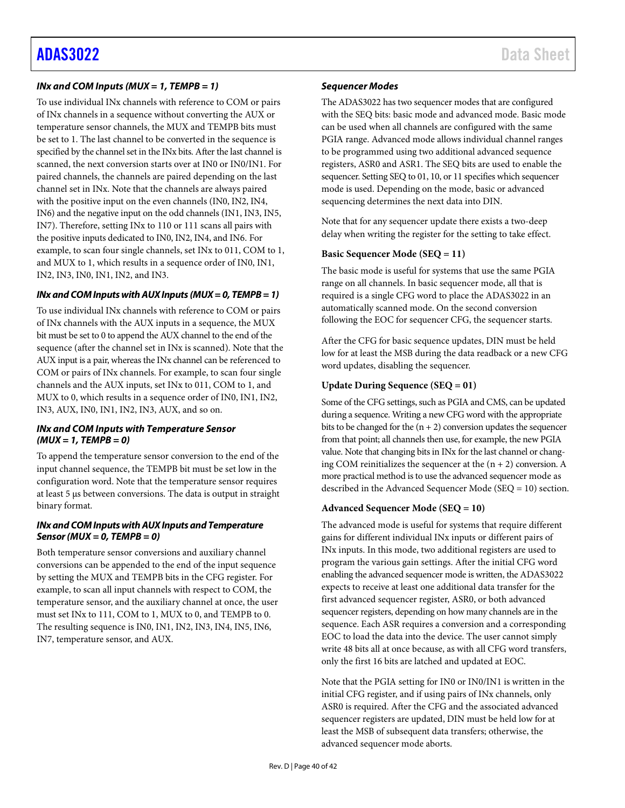#### *INx and COM Inputs (MUX = 1, TEMPB = 1)*

To use individual INx channels with reference to COM or pairs of INx channels in a sequence without converting the AUX or temperature sensor channels, the MUX and TEMPB bits must be set to 1. The last channel to be converted in the sequence is specified by the channel set in the INx bits. After the last channel is scanned, the next conversion starts over at IN0 or IN0/IN1. For paired channels, the channels are paired depending on the last channel set in INx. Note that the channels are always paired with the positive input on the even channels (IN0, IN2, IN4, IN6) and the negative input on the odd channels (IN1, IN3, IN5, IN7). Therefore, setting INx to 110 or 111 scans all pairs with the positive inputs dedicated to IN0, IN2, IN4, and IN6. For example, to scan four single channels, set INx to 011, COM to 1, and MUX to 1, which results in a sequence order of IN0, IN1, IN2, IN3, IN0, IN1, IN2, and IN3.

#### *INx and COM Inputs with AUX Inputs (MUX = 0, TEMPB = 1)*

To use individual INx channels with reference to COM or pairs of INx channels with the AUX inputs in a sequence, the MUX bit must be set to 0 to append the AUX channel to the end of the sequence (after the channel set in INx is scanned). Note that the AUX input is a pair, whereas the INx channel can be referenced to COM or pairs of INx channels. For example, to scan four single channels and the AUX inputs, set INx to 011, COM to 1, and MUX to 0, which results in a sequence order of IN0, IN1, IN2, IN3, AUX, IN0, IN1, IN2, IN3, AUX, and so on.

#### *INx and COM Inputs with Temperature Sensor (MUX = 1, TEMPB = 0)*

To append the temperature sensor conversion to the end of the input channel sequence, the TEMPB bit must be set low in the configuration word. Note that the temperature sensor requires at least 5 µs between conversions. The data is output in straight binary format.

#### *INx and COM Inputs with AUX Inputs and Temperature Sensor(MUX = 0, TEMPB = 0)*

Both temperature sensor conversions and auxiliary channel conversions can be appended to the end of the input sequence by setting the MUX and TEMPB bits in the CFG register. For example, to scan all input channels with respect to COM, the temperature sensor, and the auxiliary channel at once, the user must set INx to 111, COM to 1, MUX to 0, and TEMPB to 0. The resulting sequence is IN0, IN1, IN2, IN3, IN4, IN5, IN6, IN7, temperature sensor, and AUX.

#### *Sequencer Modes*

The ADAS3022 has two sequencer modes that are configured with the SEQ bits: basic mode and advanced mode. Basic mode can be used when all channels are configured with the same PGIA range. Advanced mode allows individual channel ranges to be programmed using two additional advanced sequence registers, ASR0 and ASR1. The SEQ bits are used to enable the sequencer. Setting SEQ to 01, 10, or 11 specifies which sequencer mode is used. Depending on the mode, basic or advanced sequencing determines the next data into DIN.

Note that for any sequencer update there exists a two-deep delay when writing the register for the setting to take effect.

#### **Basic Sequencer Mode (SEQ = 11)**

The basic mode is useful for systems that use the same PGIA range on all channels. In basic sequencer mode, all that is required is a single CFG word to place the ADAS3022 in an automatically scanned mode. On the second conversion following the EOC for sequencer CFG, the sequencer starts.

After the CFG for basic sequence updates, DIN must be held low for at least the MSB during the data readback or a new CFG word updates, disabling the sequencer.

#### **Update During Sequence (SEQ = 01)**

Some of the CFG settings, such as PGIA and CMS, can be updated during a sequence. Writing a new CFG word with the appropriate bits to be changed for the  $(n + 2)$  conversion updates the sequencer from that point; all channels then use, for example, the new PGIA value. Note that changing bits in INx for the last channel or changing COM reinitializes the sequencer at the  $(n + 2)$  conversion. A more practical method is to use the advanced sequencer mode as described in the [Advanced Sequencer Mode \(SEQ = 10\)](#page-39-0) section.

#### <span id="page-39-0"></span>**Advanced Sequencer Mode (SEQ = 10)**

The advanced mode is useful for systems that require different gains for different individual INx inputs or different pairs of INx inputs. In this mode, two additional registers are used to program the various gain settings. After the initial CFG word enabling the advanced sequencer mode is written, the ADAS3022 expects to receive at least one additional data transfer for the first advanced sequencer register, ASR0, or both advanced sequencer registers, depending on how many channels are in the sequence. Each ASR requires a conversion and a corresponding EOC to load the data into the device. The user cannot simply write 48 bits all at once because, as with all CFG word transfers, only the first 16 bits are latched and updated at EOC.

Note that the PGIA setting for IN0 or IN0/IN1 is written in the initial CFG register, and if using pairs of INx channels, only ASR0 is required. After the CFG and the associated advanced sequencer registers are updated, DIN must be held low for at least the MSB of subsequent data transfers; otherwise, the advanced sequencer mode aborts.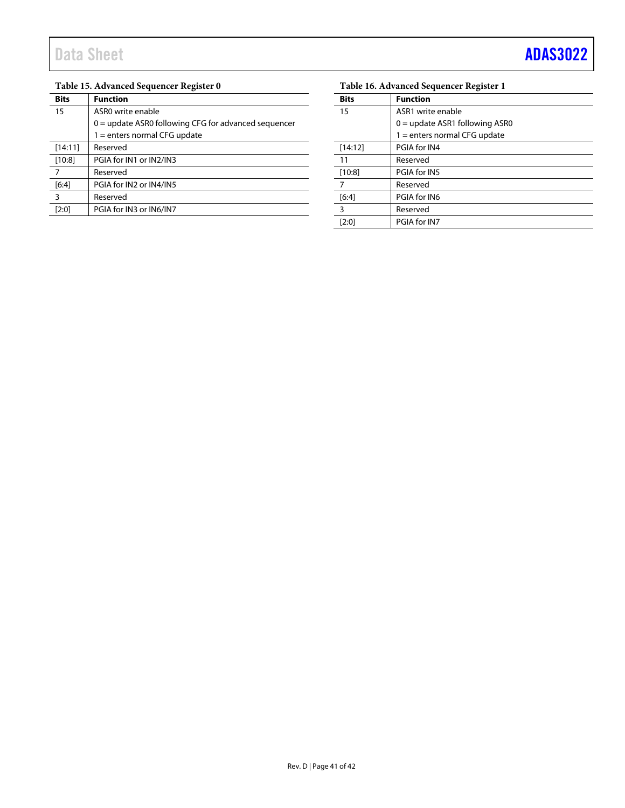### **Table 15. Advanced Sequencer Register 0**

| <b>Bits</b>    | <b>Function</b>                                        |
|----------------|--------------------------------------------------------|
| 15             | ASRO write enable                                      |
|                | $0 =$ update ASR0 following CFG for advanced sequencer |
|                | $1 =$ enters normal CFG update                         |
| [14:11]        | Reserved                                               |
| [10:8]         | PGIA for IN1 or IN2/IN3                                |
| $\overline{7}$ | Reserved                                               |
| [6:4]          | PGIA for IN2 or IN4/IN5                                |
| 3              | Reserved                                               |
| [2:0]          | PGIA for IN3 or IN6/IN7                                |

### **Table 16. Advanced Sequencer Register 1**

| <b>Bits</b> | <b>Function</b>                  |  |  |  |
|-------------|----------------------------------|--|--|--|
| 15          | ASR1 write enable                |  |  |  |
|             | $0 =$ update ASR1 following ASR0 |  |  |  |
|             | $1 =$ enters normal CFG update   |  |  |  |
| [14:12]     | PGIA for IN4                     |  |  |  |
| 11          | Reserved                         |  |  |  |
| [10:8]      | PGIA for IN5                     |  |  |  |
|             | Reserved                         |  |  |  |
| [6:4]       | PGIA for IN6                     |  |  |  |
| 3           | Reserved                         |  |  |  |
| [2:0]       | PGIA for IN7                     |  |  |  |